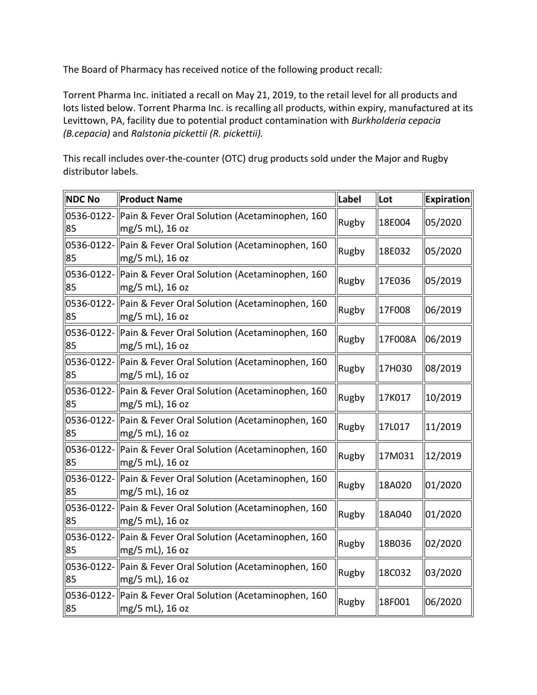The Board of Pharmacy has received notice of the following product recall:

 Torrent Pharma Inc. initiated a recall on May 21, 2019, to the retail level for all products and lots listed below. Torrent Pharma Inc. is recalling all products, within expiry, manufactured at its Levittown, PA, facility due to potential product contamination with *Burkholderia cepacia (B.cepacia)* and *Ralstonia pickettii (R. pickettii).* 

 This recall includes over-the-counter (OTC) drug products sold under the Major and Rugby distributor labels.

| <b>NDC No</b>    | <b>Product Name</b>                                                          | Label | lLot    | <b>Expiration</b> |
|------------------|------------------------------------------------------------------------------|-------|---------|-------------------|
| 0536-0122-<br>85 | Pain & Fever Oral Solution (Acetaminophen, 160<br>mg/5 mL), 16 oz            | Rugby | 18E004  | 05/2020           |
| 85               | 0536-0122- Pain & Fever Oral Solution (Acetaminophen, 160<br>mg/5 mL), 16 oz | Rugby | 18E032  | 05/2020           |
| 85               | 0536-0122- Pain & Fever Oral Solution (Acetaminophen, 160<br>mg/5 mL), 16 oz | Rugby | 17E036  | 05/2019           |
| 85               | 0536-0122- Pain & Fever Oral Solution (Acetaminophen, 160<br>mg/5 mL), 16 oz | Rugby | 17F008  | 06/2019           |
| 85               | 0536-0122- Pain & Fever Oral Solution (Acetaminophen, 160<br>mg/5 mL), 16 oz | Rugby | 17F008A | 06/2019           |
| 85               | 0536-0122- Pain & Fever Oral Solution (Acetaminophen, 160<br>mg/5 mL), 16 oz | Rugby | 17H030  | 08/2019           |
| 85               | 0536-0122- Pain & Fever Oral Solution (Acetaminophen, 160<br>mg/5 mL), 16 oz | Rugby | 17K017  | 10/2019           |
| 85               | 0536-0122- Pain & Fever Oral Solution (Acetaminophen, 160<br>mg/5 mL), 16 oz | Rugby | 17L017  | 11/2019           |
| 85               | 0536-0122- Pain & Fever Oral Solution (Acetaminophen, 160<br>mg/5 mL), 16 oz | Rugby | 17M031  | 12/2019           |
| 0536-0122-<br>85 | Pain & Fever Oral Solution (Acetaminophen, 160<br>mg/5 mL), 16 oz            | Rugby | 18A020  | 01/2020           |
| 0536-0122-<br>85 | Pain & Fever Oral Solution (Acetaminophen, 160<br>mg/5 mL), 16 oz            | Rugby | 18A040  | 01/2020           |
| 0536-0122-<br>85 | Pain & Fever Oral Solution (Acetaminophen, 160<br>mg/5 mL), 16 oz            | Rugby | 18B036  | 02/2020           |
| 0536-0122-<br>85 | Pain & Fever Oral Solution (Acetaminophen, 160<br>mg/5 mL), 16 oz            | Rugby | 18C032  | 03/2020           |
| 0536-0122-<br>85 | Pain & Fever Oral Solution (Acetaminophen, 160<br>mg/5 mL), 16 oz            | Rugby | 18F001  | 06/2020           |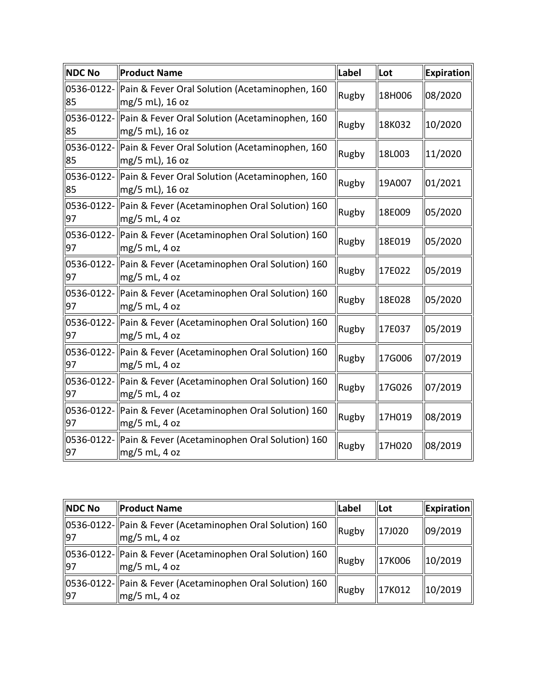| NDC No | <b>Product Name</b>                                                                  | Label | Lot    | <b>Expiration</b> |
|--------|--------------------------------------------------------------------------------------|-------|--------|-------------------|
| 85     | 0536-0122- Pain & Fever Oral Solution (Acetaminophen, 160<br>$\vert$ mg/5 mL), 16 oz | Rugby | 18H006 | 08/2020           |
| 85     | 0536-0122- Pain & Fever Oral Solution (Acetaminophen, 160<br>mg/5 mL), 16 oz         | Rugby | 18K032 | 10/2020           |
| 85     | 0536-0122- Pain & Fever Oral Solution (Acetaminophen, 160<br>mg/5 mL), 16 oz         | Rugby | 18L003 | 11/2020           |
| 85     | 0536-0122- Pain & Fever Oral Solution (Acetaminophen, 160<br>$mg/5$ mL), 16 oz       | Rugby | 19A007 | 01/2021           |
| 97     | 0536-0122- Pain & Fever (Acetaminophen Oral Solution) 160<br>mg/5 mL, 4 oz           | Rugby | 18E009 | 05/2020           |
| 97     | 0536-0122- Pain & Fever (Acetaminophen Oral Solution) 160<br>$mg/5$ mL, 4 oz         | Rugby | 18E019 | 05/2020           |
| 97     | 0536-0122- Pain & Fever (Acetaminophen Oral Solution) 160<br>$mg/5$ mL, 4 oz         | Rugby | 17E022 | 05/2019           |
| 97     | 0536-0122- Pain & Fever (Acetaminophen Oral Solution) 160<br>$mg/5$ mL, 4 oz         | Rugby | 18E028 | 05/2020           |
| 97     | 0536-0122- Pain & Fever (Acetaminophen Oral Solution) 160<br>mg/5 mL, 4 oz           | Rugby | 17E037 | 05/2019           |
| 97     | 0536-0122- Pain & Fever (Acetaminophen Oral Solution) 160<br>$mg/5$ mL, 4 oz         | Rugby | 17G006 | 07/2019           |
| 97     | 0536-0122- Pain & Fever (Acetaminophen Oral Solution) 160<br>mg/5 mL, 4 oz           | Rugby | 17G026 | 07/2019           |
| 97     | 0536-0122- Pain & Fever (Acetaminophen Oral Solution) 160<br>$mg/5$ mL, 4 oz         | Rugby | 17H019 | 08/2019           |
| 97     | 0536-0122- Pain & Fever (Acetaminophen Oral Solution) 160<br>$mg/5$ mL, 4 oz         | Rugby | 17H020 | 08/2019           |

| <b>NDC No</b> | <b>Product Name</b>                                                                        | Label | <b>ILot</b> | $\ $ Expiration $\ $ |
|---------------|--------------------------------------------------------------------------------------------|-------|-------------|----------------------|
| 97            | 0536-0122- Pain & Fever (Acetaminophen Oral Solution) 160<br>$\left \right $ mg/5 mL, 4 oz | Rugby | 17J020      | 09/2019              |
| 97            | 0536-0122- Pain & Fever (Acetaminophen Oral Solution) 160<br>$\left \right $ mg/5 mL, 4 oz | Rugby | 17K006      | $\parallel$ 10/2019  |
| 97            | 0536-0122- Pain & Fever (Acetaminophen Oral Solution) 160<br>$\parallel$ mg/5 mL, 4 oz     | Rugby | 17K012      | 10/2019              |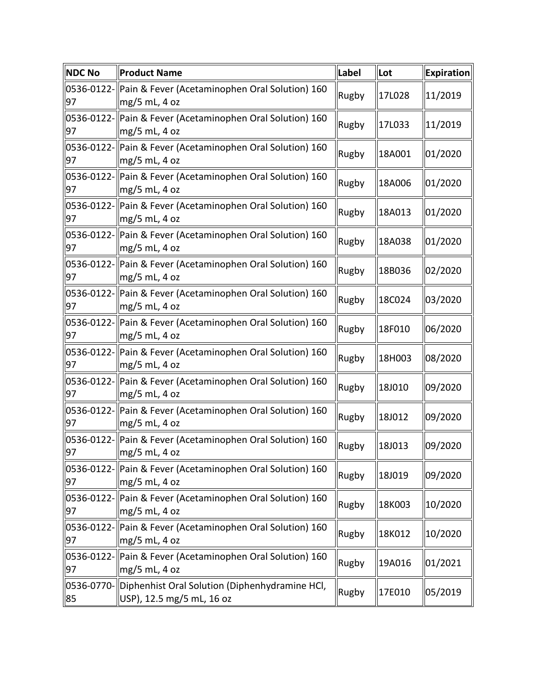| <b>NDC No</b> | Product Name                                                                             | Label | Lot    | $ $ Expiration $ $ |
|---------------|------------------------------------------------------------------------------------------|-------|--------|--------------------|
| 97            | 0536-0122- Pain & Fever (Acetaminophen Oral Solution) 160<br>$\log/5$ mL, 4 oz           | Rugby | 17L028 | 11/2019            |
| 97            | 0536-0122- Pain & Fever (Acetaminophen Oral Solution) 160<br>$\text{mg/5}$ mL, 4 oz      | Rugby | 17L033 | 11/2019            |
| 97            | 0536-0122- Pain & Fever (Acetaminophen Oral Solution) 160<br>$\parallel$ mg/5 mL, 4 oz   | Rugby | 18A001 | 01/2020            |
| 97            | 0536-0122- Pain & Fever (Acetaminophen Oral Solution) 160<br>$\parallel$ mg/5 mL, 4 oz   | Rugby | 18A006 | 01/2020            |
| 97            | 0536-0122- Pain & Fever (Acetaminophen Oral Solution) 160<br>$\parallel$ mg/5 mL, 4 oz   | Rugby | 18A013 | 01/2020            |
| 97            | 0536-0122- Pain & Fever (Acetaminophen Oral Solution) 160<br>$\log/5$ mL, 4 oz           | Rugby | 18A038 | 01/2020            |
| 97            | 0536-0122- Pain & Fever (Acetaminophen Oral Solution) 160<br>$\log/5$ mL, 4 oz           | Rugby | 18B036 | 02/2020            |
| 97            | 0536-0122- Pain & Fever (Acetaminophen Oral Solution) 160<br>$\parallel$ mg/5 mL, 4 oz   | Rugby | 18C024 | 03/2020            |
| 97            | 0536-0122- Pain & Fever (Acetaminophen Oral Solution) 160<br>$\parallel$ mg/5 mL, 4 oz   | Rugby | 18F010 | 06/2020            |
| 97            | 0536-0122- Pain & Fever (Acetaminophen Oral Solution) 160<br>$\parallel$ mg/5 mL, 4 oz   | Rugby | 18H003 | 08/2020            |
| 97            | 0536-0122-  Pain & Fever (Acetaminophen Oral Solution) 160<br>$\log/5$ mL, 4 oz          | Rugby | 18J010 | 09/2020            |
| 97            | 0536-0122- Pain & Fever (Acetaminophen Oral Solution) 160<br>$\parallel$ mg/5 mL, 4 oz   | Rugby | 18J012 | 09/2020            |
| 97            | 0536-0122- Pain & Fever (Acetaminophen Oral Solution) 160<br>$\parallel$ mg/5 mL, 4 oz   | Rugby | 18J013 | 09/2020            |
| 97            | 0536-0122- Pain & Fever (Acetaminophen Oral Solution) 160<br>$\parallel$ mg/5 mL, 4 oz   | Rugby | 18J019 | $\vert 09/2020$    |
| 97            | 0536-0122- Pain & Fever (Acetaminophen Oral Solution) 160<br>$\parallel$ mg/5 mL, 4 oz   | Rugby | 18K003 | 10/2020            |
| 97            | 0536-0122- Pain & Fever (Acetaminophen Oral Solution) 160<br>$\parallel$ mg/5 mL, 4 oz   | Rugby | 18K012 | 10/2020            |
| 97            | 0536-0122- Pain & Fever (Acetaminophen Oral Solution) 160<br>$\log$ /5 mL, 4 oz          | Rugby | 19A016 | 01/2021            |
| 85            | 0536-0770- Diphenhist Oral Solution (Diphenhydramine HCl,<br>  USP), 12.5 mg/5 mL, 16 oz | Rugby | 17E010 | 05/2019            |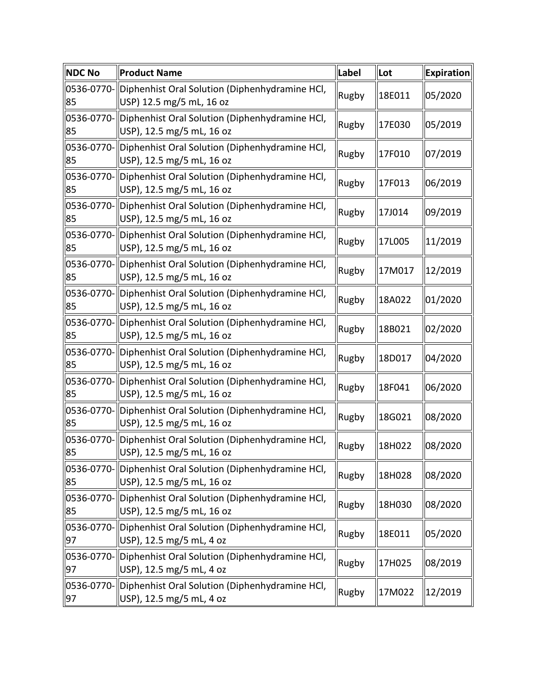| NDC No           | <b>Product Name</b>                                                                      | Label | Lot    | <b>Expiration</b> |
|------------------|------------------------------------------------------------------------------------------|-------|--------|-------------------|
| 85               | 0536-0770- Diphenhist Oral Solution (Diphenhydramine HCl,<br>USP) 12.5 mg/5 mL, 16 oz    | Rugby | 18E011 | 05/2020           |
| 0536-0770-<br>85 | Diphenhist Oral Solution (Diphenhydramine HCl,<br>USP), 12.5 mg/5 mL, 16 oz              | Rugby | 17E030 | 05/2019           |
| 85               | 0536-0770- Diphenhist Oral Solution (Diphenhydramine HCl,<br>USP), 12.5 mg/5 mL, 16 oz   | Rugby | 17F010 | 07/2019           |
| 85               | 0536-0770-   Diphenhist Oral Solution (Diphenhydramine HCl,<br>USP), 12.5 mg/5 mL, 16 oz | Rugby | 17F013 | 06/2019           |
| 0536-0770-<br>85 | Diphenhist Oral Solution (Diphenhydramine HCl,<br>USP), 12.5 mg/5 mL, 16 oz              | Rugby | 17J014 | 09/2019           |
| 85               | 0536-0770-   Diphenhist Oral Solution (Diphenhydramine HCl,<br>USP), 12.5 mg/5 mL, 16 oz | Rugby | 17L005 | 11/2019           |
| 85               | 0536-0770-   Diphenhist Oral Solution (Diphenhydramine HCl,<br>USP), 12.5 mg/5 mL, 16 oz | Rugby | 17M017 | 12/2019           |
| 85               | 0536-0770-   Diphenhist Oral Solution (Diphenhydramine HCl,<br>USP), 12.5 mg/5 mL, 16 oz | Rugby | 18A022 | 01/2020           |
| 0536-0770-<br>85 | Diphenhist Oral Solution (Diphenhydramine HCl,<br>USP), 12.5 mg/5 mL, 16 oz              | Rugby | 18B021 | 02/2020           |
| 85               | 0536-0770-   Diphenhist Oral Solution (Diphenhydramine HCl,<br>USP), 12.5 mg/5 mL, 16 oz | Rugby | 18D017 | 04/2020           |
| 85               | 0536-0770-   Diphenhist Oral Solution (Diphenhydramine HCl,<br>USP), 12.5 mg/5 mL, 16 oz | Rugby | 18F041 | 06/2020           |
| 85               | 0536-0770-  Diphenhist Oral Solution (Diphenhydramine HCl,<br>USP), 12.5 mg/5 mL, 16 oz  | Rugby | 18G021 | 08/2020           |
| 0536-0770-<br>85 | Diphenhist Oral Solution (Diphenhydramine HCl,<br>USP), 12.5 mg/5 mL, 16 oz              | Rugby | 18H022 | 08/2020           |
| 85               | 0536-0770-  Diphenhist Oral Solution (Diphenhydramine HCl,<br>USP), 12.5 mg/5 mL, 16 oz  | Rugby | 18H028 | 08/2020           |
| 85               | 0536-0770-  Diphenhist Oral Solution (Diphenhydramine HCl,<br>USP), 12.5 mg/5 mL, 16 oz  | Rugby | 18H030 | 08/2020           |
| 97               | 0536-0770-  Diphenhist Oral Solution (Diphenhydramine HCl,<br>USP), 12.5 mg/5 mL, 4 oz   | Rugby | 18E011 | 05/2020           |
| 97               | 0536-0770-  Diphenhist Oral Solution (Diphenhydramine HCl,<br>USP), 12.5 mg/5 mL, 4 oz   | Rugby | 17H025 | 08/2019           |
| 97               | 0536-0770-  Diphenhist Oral Solution (Diphenhydramine HCl,<br>USP), 12.5 mg/5 mL, 4 oz   | Rugby | 17M022 | 12/2019           |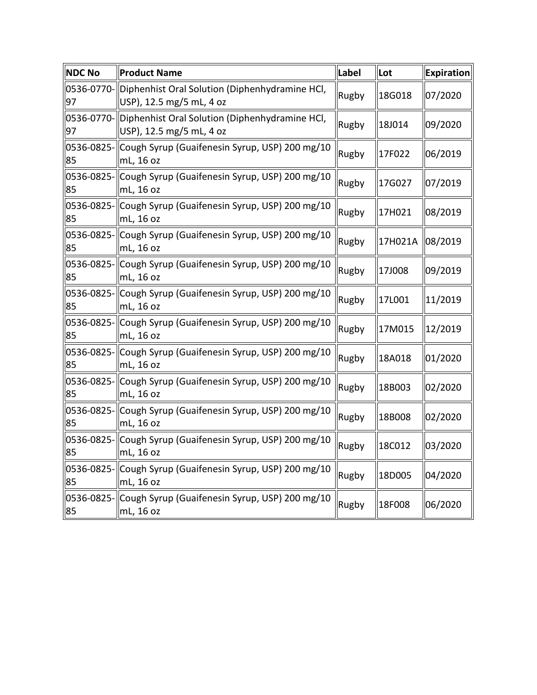| <b>NDC No</b>    | Product Name                                                                          | Label | Lot           | Expiration  |
|------------------|---------------------------------------------------------------------------------------|-------|---------------|-------------|
| 97               | 0536-0770- Diphenhist Oral Solution (Diphenhydramine HCl,<br>USP), 12.5 mg/5 mL, 4 oz | Rugby | 18G018        | 07/2020     |
| 97               | 0536-0770- Diphenhist Oral Solution (Diphenhydramine HCl,<br>USP), 12.5 mg/5 mL, 4 oz | Rugby | 18J014        | 09/2020     |
| 85               | 0536-0825- Cough Syrup (Guaifenesin Syrup, USP) 200 mg/10<br>mL, 16 oz                | Rugby | 17F022        | 06/2019     |
| 85               | 0536-0825- Cough Syrup (Guaifenesin Syrup, USP) 200 mg/10<br>$\vert$ mL, 16 oz        | Rugby | 17G027        | 07/2019     |
| 85               | 0536-0825- Cough Syrup (Guaifenesin Syrup, USP) 200 mg/10<br>$\parallel$ mL, 16 oz    | Rugby | 17H021        | 08/2019     |
| 85               | 0536-0825- Cough Syrup (Guaifenesin Syrup, USP) 200 mg/10<br>$\parallel$ mL, 16 oz    | Rugby | 17H021A       | 08/2019     |
| 85               | 0536-0825- Cough Syrup (Guaifenesin Syrup, USP) 200 mg/10<br>$\parallel$ mL, 16 oz    | Rugby | <b>17J008</b> | 09/2019     |
| 85               | 0536-0825- Cough Syrup (Guaifenesin Syrup, USP) 200 mg/10<br>  mL, 16 oz              | Rugby | 17L001        | 11/2019     |
| 85               | 0536-0825- Cough Syrup (Guaifenesin Syrup, USP) 200 mg/10<br>$mL$ , 16 oz             | Rugby | 17M015        | 12/2019     |
| 85               | 0536-0825- Cough Syrup (Guaifenesin Syrup, USP) 200 mg/10<br>$\parallel$ mL, 16 oz    | Rugby | 18A018        | 01/2020     |
| 85               | 0536-0825- Cough Syrup (Guaifenesin Syrup, USP) 200 mg/10<br>$\ $ mL, 16 oz           | Rugby | 18B003        | 02/2020     |
| 85               | 0536-0825- Cough Syrup (Guaifenesin Syrup, USP) 200 mg/10<br>$\parallel$ mL, 16 oz    | Rugby | 18B008        | 02/2020     |
| 0536-0825-<br>85 | Cough Syrup (Guaifenesin Syrup, USP) 200 mg/10<br>$\ $ mL, 16 oz                      | Rugby | 18C012        | $\ 03/2020$ |
| 85               | 0536-0825- Cough Syrup (Guaifenesin Syrup, USP) 200 mg/10<br>$\parallel$ mL, 16 oz    | Rugby | 18D005        | 04/2020     |
| 85               | 0536-0825- Cough Syrup (Guaifenesin Syrup, USP) 200 mg/10<br>  mL, 16 oz              | Rugby | 18F008        | 06/2020     |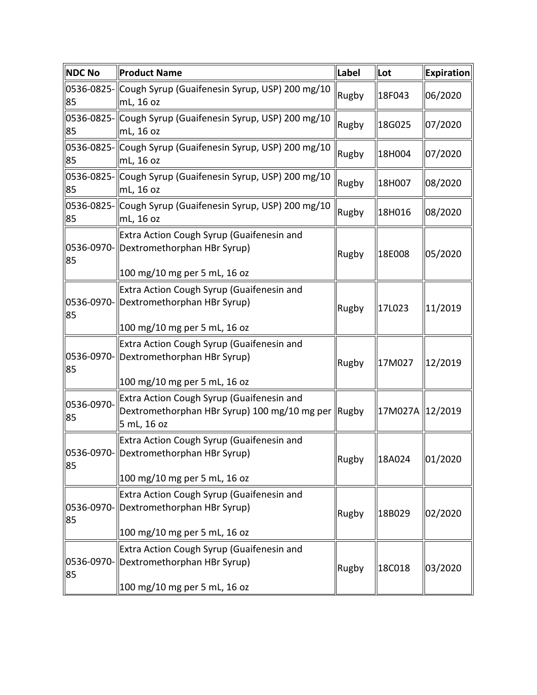| <b>NDC No</b>    | <b>Product Name</b>                                                                                                 | Label | Lot               | <b>Expiration</b> |
|------------------|---------------------------------------------------------------------------------------------------------------------|-------|-------------------|-------------------|
| 0536-0825-<br>85 | Cough Syrup (Guaifenesin Syrup, USP) 200 mg/10<br>mL, 16 oz                                                         | Rugby | 18F043            | 06/2020           |
| 85               | 0536-0825- Cough Syrup (Guaifenesin Syrup, USP) 200 mg/10<br>$mL$ , 16 oz                                           | Rugby | 18G025            | 07/2020           |
| 85               | 0536-0825- Cough Syrup (Guaifenesin Syrup, USP) 200 mg/10<br>$mL$ , 16 oz                                           | Rugby | 18H004            | 07/2020           |
| 85               | 0536-0825- Cough Syrup (Guaifenesin Syrup, USP) 200 mg/10<br>$mL$ , 16 oz                                           | Rugby | 18H007            | 08/2020           |
| 85               | 0536-0825- Cough Syrup (Guaifenesin Syrup, USP) 200 mg/10<br>$mL$ , 16 oz                                           | Rugby | 18H016            | 08/2020           |
| 85               | Extra Action Cough Syrup (Guaifenesin and<br>0536-0970- Dextromethorphan HBr Syrup)<br>100 mg/10 mg per 5 mL, 16 oz | Rugby | 18E008            | 05/2020           |
| 85               | Extra Action Cough Syrup (Guaifenesin and<br>0536-0970- Dextromethorphan HBr Syrup)<br>100 mg/10 mg per 5 mL, 16 oz | Rugby | 17L023            | 11/2019           |
| 85               | Extra Action Cough Syrup (Guaifenesin and<br>0536-0970- Dextromethorphan HBr Syrup)                                 | Rugby | 17M027            | 12/2019           |
|                  | 100 mg/10 mg per 5 mL, 16 oz                                                                                        |       |                   |                   |
| 0536-0970-<br>85 | Extra Action Cough Syrup (Guaifenesin and<br>Dextromethorphan HBr Syrup) 100 mg/10 mg per Rugby<br>5 mL, 16 oz      |       | ∥17M027A ∥12/2019 |                   |
| 85               | Extra Action Cough Syrup (Guaifenesin and<br>0536-0970- Dextromethorphan HBr Syrup)<br>100 mg/10 mg per 5 mL, 16 oz | Rugby | 18A024            | 01/2020           |
| 85               | Extra Action Cough Syrup (Guaifenesin and<br>0536-0970- Dextromethorphan HBr Syrup)                                 | Rugby | 18B029            | 02/2020           |
|                  | 100 mg/10 mg per 5 mL, 16 oz                                                                                        |       |                   |                   |
| 0536-0970-<br>85 | Extra Action Cough Syrup (Guaifenesin and<br>Dextromethorphan HBr Syrup)                                            | Rugby | 18C018            | 03/2020           |
|                  | 100 mg/10 mg per 5 mL, 16 oz                                                                                        |       |                   |                   |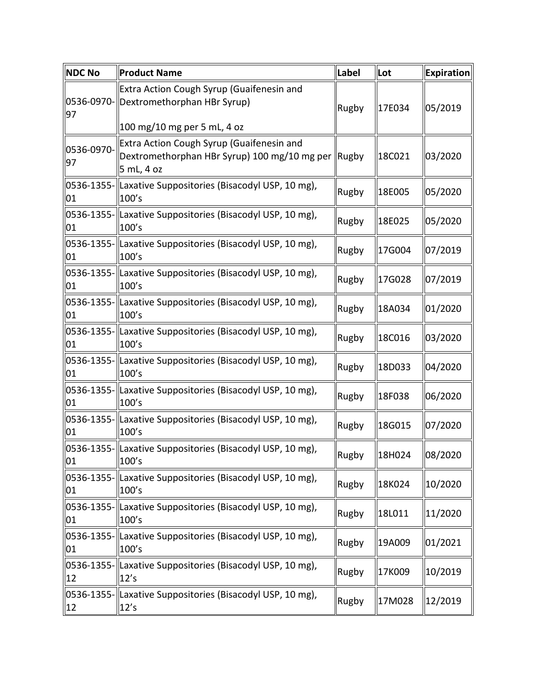| <b>NDC No</b>    | <b>Product Name</b>                                                                                           | Label | Lot    | Expiration |
|------------------|---------------------------------------------------------------------------------------------------------------|-------|--------|------------|
| 0536-0970-<br>97 | Extra Action Cough Syrup (Guaifenesin and<br>Dextromethorphan HBr Syrup)                                      | Rugby | 17E034 | 05/2019    |
|                  | 100 mg/10 mg per 5 mL, 4 oz                                                                                   |       |        |            |
| 0536-0970-<br>97 | Extra Action Cough Syrup (Guaifenesin and<br>Dextromethorphan HBr Syrup) 100 mg/10 mg per Rugby<br>5 mL, 4 oz |       | 18C021 | 03/2020    |
| 01               | 0536-1355- Laxative Suppositories (Bisacodyl USP, 10 mg),<br>100's                                            | Rugby | 18E005 | 05/2020    |
| 01               | 0536-1355-  Laxative Suppositories (Bisacodyl USP, 10 mg),<br>100's                                           | Rugby | 18E025 | 05/2020    |
| 01               | 0536-1355- Laxative Suppositories (Bisacodyl USP, 10 mg),<br>100's                                            | Rugby | 17G004 | 07/2019    |
| 01               | 0536-1355-  Laxative Suppositories (Bisacodyl USP, 10 mg),<br>100's                                           | Rugby | 17G028 | 07/2019    |
| 01               | 0536-1355- Laxative Suppositories (Bisacodyl USP, 10 mg),<br>100's                                            | Rugby | 18A034 | 01/2020    |
| 01               | 0536-1355- Laxative Suppositories (Bisacodyl USP, 10 mg),<br>100's                                            | Rugby | 18C016 | 03/2020    |
| 01               | 0536-1355-  Laxative Suppositories (Bisacodyl USP, 10 mg),<br>100's                                           | Rugby | 18D033 | 04/2020    |
| 01               | 0536-1355-  Laxative Suppositories (Bisacodyl USP, 10 mg),<br>100's                                           | Rugby | 18F038 | 06/2020    |
| 01               | 0536-1355- Laxative Suppositories (Bisacodyl USP, 10 mg),<br>100's                                            | Rugby | 18G015 | 07/2020    |
| 01               | 0536-1355- Laxative Suppositories (Bisacodyl USP, 10 mg),<br>100's                                            | Rugby | 18H024 | 08/2020    |
| 0536-1355-<br>01 | Laxative Suppositories (Bisacodyl USP, 10 mg),<br>100's                                                       | Rugby | 18K024 | 10/2020    |
| 01               | 0536-1355- Laxative Suppositories (Bisacodyl USP, 10 mg),<br>100's                                            | Rugby | 18L011 | 11/2020    |
| 01               | 0536-1355- Laxative Suppositories (Bisacodyl USP, 10 mg),<br>100's                                            | Rugby | 19A009 | 01/2021    |
| 12               | 0536-1355- Laxative Suppositories (Bisacodyl USP, 10 mg),<br>12's                                             | Rugby | 17K009 | 10/2019    |
| 12               | 0536-1355- Laxative Suppositories (Bisacodyl USP, 10 mg),<br>12's                                             | Rugby | 17M028 | 12/2019    |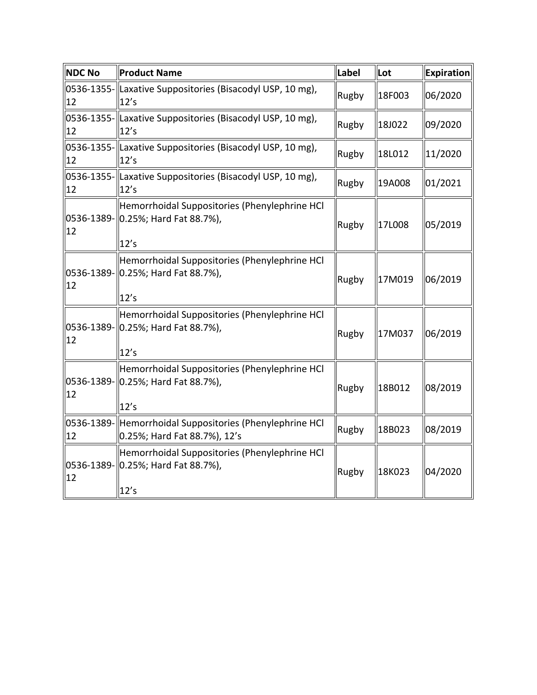| <b>NDC No</b> | <b>Product Name</b>                                                                          | Label | Lot    | <b>Expiration</b> |
|---------------|----------------------------------------------------------------------------------------------|-------|--------|-------------------|
| 12            | 0536-1355- Laxative Suppositories (Bisacodyl USP, 10 mg),<br>12's                            | Rugby | 18F003 | 06/2020           |
| 12            | 0536-1355- Laxative Suppositories (Bisacodyl USP, 10 mg),<br>12's                            | Rugby | 18J022 | 09/2020           |
| 12            | 0536-1355- Laxative Suppositories (Bisacodyl USP, 10 mg),<br>12's                            | Rugby | 18L012 | 11/2020           |
| 12            | 0536-1355- Laxative Suppositories (Bisacodyl USP, 10 mg),<br>12's                            | Rugby | 19A008 | 01/2021           |
| 12            | Hemorrhoidal Suppositories (Phenylephrine HCI<br>0536-1389- 0.25%; Hard Fat 88.7%),<br>12's  | Rugby | 17L008 | 05/2019           |
| 12            | Hemorrhoidal Suppositories (Phenylephrine HCI<br>0536-1389-  0.25%; Hard Fat 88.7%),<br>12's | Rugby | 17M019 | 06/2019           |
| 12            | Hemorrhoidal Suppositories (Phenylephrine HCl<br>0536-1389- 0.25%; Hard Fat 88.7%),<br>12's  | Rugby | 17M037 | 06/2019           |
| 12            | Hemorrhoidal Suppositories (Phenylephrine HCl<br>0536-1389-  0.25%; Hard Fat 88.7%),<br>12's | Rugby | 18B012 | 08/2019           |
| 12            | 0536-1389-Hemorrhoidal Suppositories (Phenylephrine HCl<br>0.25%; Hard Fat 88.7%), 12's      | Rugby | 18B023 | 08/2019           |
| 12            | Hemorrhoidal Suppositories (Phenylephrine HCl<br>0536-1389- 0.25%; Hard Fat 88.7%),<br>12's  | Rugby | 18K023 | 04/2020           |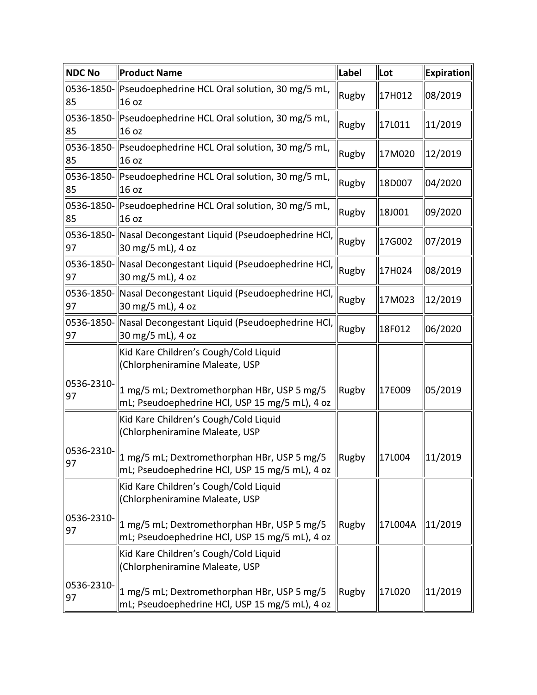| <b>NDC No</b>    | Product Name                                                                                                        | Label | Lot     | <b>Expiration</b>   |
|------------------|---------------------------------------------------------------------------------------------------------------------|-------|---------|---------------------|
| 85               | 0536-1850-  Pseudoephedrine HCL Oral solution, 30 mg/5 mL,<br>$16$ oz                                               | Rugby | 17H012  | 08/2019             |
| 85               | 0536-1850- Pseudoephedrine HCL Oral solution, 30 mg/5 mL,<br>16 <sub>oz</sub>                                       | Rugby | 17L011  | 11/2019             |
| 85               | 0536-1850- Pseudoephedrine HCL Oral solution, 30 mg/5 mL,<br>$16$ oz                                                | Rugby | 17M020  | 12/2019             |
| 85               | 0536-1850- Pseudoephedrine HCL Oral solution, 30 mg/5 mL,<br>16 <sub>oz</sub>                                       | Rugby | 18D007  | 04/2020             |
| 85               | 0536-1850-  Pseudoephedrine HCL Oral solution, 30 mg/5 mL,<br>16 oz                                                 | Rugby | 18J001  | 09/2020             |
| 97               | 0536-1850- Nasal Decongestant Liquid (Pseudoephedrine HCl, Rugby<br>30 mg/5 mL), 4 oz                               |       | 17G002  | 07/2019             |
| 97               | 0536-1850- Nasal Decongestant Liquid (Pseudoephedrine HCl,<br>30 mg/5 mL), 4 oz                                     | Rugby | 17H024  | 08/2019             |
| 97               | 0536-1850- Nasal Decongestant Liquid (Pseudoephedrine HCl,<br>30 mg/5 mL), 4 oz                                     | Rugby | 17M023  | 12/2019             |
| 97               | 0536-1850- Nasal Decongestant Liquid (Pseudoephedrine HCl,<br>30 mg/5 mL), 4 oz                                     | Rugby | 18F012  | 06/2020             |
|                  | Kid Kare Children's Cough/Cold Liquid<br>(Chlorpheniramine Maleate, USP                                             |       |         |                     |
| 0536-2310-<br>97 | 1 mg/5 mL; Dextromethorphan HBr, USP 5 mg/5<br>mL; Pseudoephedrine HCl, USP 15 mg/5 mL), 4 oz                       | Rugby | 17E009  | 05/2019             |
|                  | Kid Kare Children's Cough/Cold Liquid<br>(Chlorpheniramine Maleate, USP                                             |       |         |                     |
| 0536-2310-<br>97 | $\vert$ 1 mg/5 mL; Dextromethorphan HBr, USP 5 mg/5 $\vert$ Rugby<br>mL; Pseudoephedrine HCl, USP 15 mg/5 mL), 4 oz |       | 17L004  | 11/2019             |
|                  | Kid Kare Children's Cough/Cold Liquid<br>(Chlorpheniramine Maleate, USP                                             |       |         |                     |
| 0536-2310-<br>97 | $\parallel$ 1 mg/5 mL; Dextromethorphan HBr, USP 5 mg/5<br>mL; Pseudoephedrine HCl, USP 15 mg/5 mL), 4 oz           | Rugby | 17L004A | $\parallel$ 11/2019 |
|                  | Kid Kare Children's Cough/Cold Liquid<br>(Chlorpheniramine Maleate, USP                                             |       |         |                     |
| 0536-2310-<br>97 | 1 mg/5 mL; Dextromethorphan HBr, USP 5 mg/5<br>mL; Pseudoephedrine HCl, USP 15 mg/5 mL), 4 oz                       | Rugby | 17L020  | 11/2019             |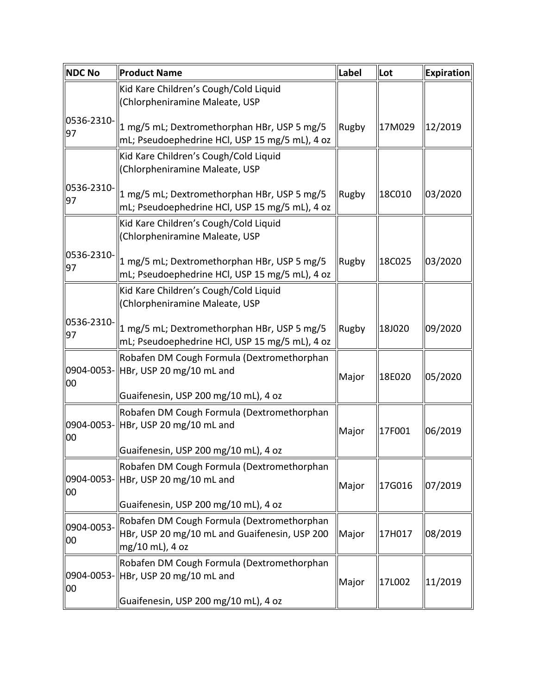| <b>NDC No</b>    | <b>Product Name</b>                                                                         | Label | Lot    | <b>Expiration</b> |
|------------------|---------------------------------------------------------------------------------------------|-------|--------|-------------------|
|                  | Kid Kare Children's Cough/Cold Liquid                                                       |       |        |                   |
|                  | (Chlorpheniramine Maleate, USP                                                              |       |        |                   |
| 0536-2310-       | 1 mg/5 mL; Dextromethorphan HBr, USP 5 mg/5                                                 |       | 17M029 | 12/2019           |
| 97               | mL; Pseudoephedrine HCl, USP 15 mg/5 mL), 4 oz                                              | Rugby |        |                   |
|                  | Kid Kare Children's Cough/Cold Liquid                                                       |       |        |                   |
|                  | (Chlorpheniramine Maleate, USP                                                              |       |        |                   |
|                  |                                                                                             |       |        |                   |
| 0536-2310-<br>97 | 1 mg/5 mL; Dextromethorphan HBr, USP 5 mg/5                                                 | Rugby | 18C010 | 03/2020           |
|                  | mL; Pseudoephedrine HCl, USP 15 mg/5 mL), 4 oz                                              |       |        |                   |
|                  | Kid Kare Children's Cough/Cold Liquid                                                       |       |        |                   |
|                  | (Chlorpheniramine Maleate, USP                                                              |       |        |                   |
| 0536-2310-       | 1 mg/5 mL; Dextromethorphan HBr, USP 5 mg/5                                                 | Rugby | 18C025 | 03/2020           |
| 97               | mL; Pseudoephedrine HCl, USP 15 mg/5 mL), 4 oz                                              |       |        |                   |
|                  | Kid Kare Children's Cough/Cold Liquid                                                       |       |        |                   |
|                  | (Chlorpheniramine Maleate, USP                                                              |       |        |                   |
| 0536-2310-       |                                                                                             |       |        |                   |
| 97               | 1 mg/5 mL; Dextromethorphan HBr, USP 5 mg/5                                                 | Rugby | 18J020 | 09/2020           |
|                  | mL; Pseudoephedrine HCl, USP 15 mg/5 mL), 4 oz                                              |       |        |                   |
|                  | Robafen DM Cough Formula (Dextromethorphan                                                  |       |        |                   |
| 00               | 0904-0053- HBr, USP 20 mg/10 mL and                                                         | Major | 18E020 | 05/2020           |
|                  | Guaifenesin, USP 200 mg/10 mL), 4 oz                                                        |       |        |                   |
|                  | Robafen DM Cough Formula (Dextromethorphan                                                  |       |        |                   |
|                  | 0904-0053- HBr, USP 20 mg/10 mL and                                                         |       |        |                   |
| 00               |                                                                                             | Major | 17F001 | 06/2019           |
|                  | Guaifenesin, USP 200 mg/10 mL), 4 oz                                                        |       |        |                   |
|                  | Robafen DM Cough Formula (Dextromethorphan                                                  |       |        |                   |
|                  | 0904-0053-HBr, USP 20 mg/10 mL and                                                          | Major | 17G016 | 07/2019           |
| 00               | Guaifenesin, USP 200 mg/10 mL), 4 oz                                                        |       |        |                   |
|                  |                                                                                             |       |        |                   |
| 0904-0053-       | Robafen DM Cough Formula (Dextromethorphan<br>HBr, USP 20 mg/10 mL and Guaifenesin, USP 200 | Major | 17H017 | 08/2019           |
| 00               | mg/10 mL), 4 oz                                                                             |       |        |                   |
|                  | Robafen DM Cough Formula (Dextromethorphan                                                  |       |        |                   |
|                  | 0904-0053- HBr, USP 20 mg/10 mL and                                                         |       |        |                   |
| 00               |                                                                                             | Major | 17L002 | 11/2019           |
|                  | Guaifenesin, USP 200 mg/10 mL), 4 oz                                                        |       |        |                   |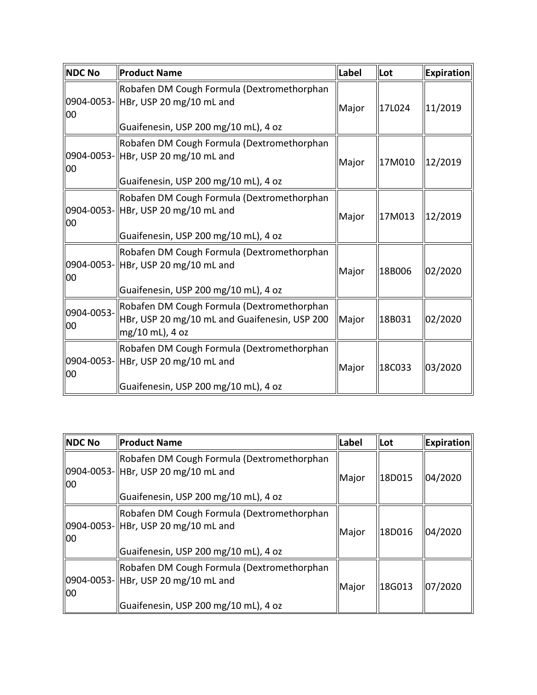| <b>NDC No</b>    | Product Name                                                                                                              | Label | lLot   | Expiration |
|------------------|---------------------------------------------------------------------------------------------------------------------------|-------|--------|------------|
| 00               | Robafen DM Cough Formula (Dextromethorphan<br>0904-0053- HBr, USP 20 mg/10 mL and                                         | Major | 17L024 | 11/2019    |
|                  | Guaifenesin, USP 200 mg/10 mL), 4 oz                                                                                      |       |        |            |
| 00               | Robafen DM Cough Formula (Dextromethorphan<br>0904-0053- HBr, USP 20 mg/10 mL and<br>Guaifenesin, USP 200 mg/10 mL), 4 oz | Major | 17M010 | 12/2019    |
|                  |                                                                                                                           |       |        |            |
| 00               | Robafen DM Cough Formula (Dextromethorphan<br>0904-0053- HBr, USP 20 mg/10 mL and                                         | Major | 17M013 | 12/2019    |
|                  | Guaifenesin, USP 200 mg/10 mL), 4 oz                                                                                      |       |        |            |
| 00               | Robafen DM Cough Formula (Dextromethorphan<br>0904-0053- HBr, USP 20 mg/10 mL and                                         | Major | 18B006 | 02/2020    |
|                  | Guaifenesin, USP 200 mg/10 mL), 4 oz                                                                                      |       |        |            |
| 0904-0053-<br>00 | Robafen DM Cough Formula (Dextromethorphan<br>HBr, USP 20 mg/10 mL and Guaifenesin, USP 200<br>mg/10 mL), 4 oz            | Major | 18B031 | 02/2020    |
| 00               | Robafen DM Cough Formula (Dextromethorphan<br>0904-0053- HBr, USP 20 mg/10 mL and                                         | Major | 18C033 | 03/2020    |
|                  | Guaifenesin, USP 200 mg/10 mL), 4 oz                                                                                      |       |        |            |

| <b>NDC No</b> | <b>Product Name</b>                                                                                                       | Label | <b>ILot</b> | Expiration |
|---------------|---------------------------------------------------------------------------------------------------------------------------|-------|-------------|------------|
| 100           | Robafen DM Cough Formula (Dextromethorphan<br>0904-0053- HBr, USP 20 mg/10 mL and<br>Guaifenesin, USP 200 mg/10 mL), 4 oz | Major | 18D015      | 04/2020    |
| 100           | Robafen DM Cough Formula (Dextromethorphan<br>0904-0053- HBr, USP 20 mg/10 mL and<br>Guaifenesin, USP 200 mg/10 mL), 4 oz | Major | 18D016      | 04/2020    |
| 100           | Robafen DM Cough Formula (Dextromethorphan<br>0904-0053- HBr, USP 20 mg/10 mL and<br>Guaifenesin, USP 200 mg/10 mL), 4 oz | Major | 18G013      | 07/2020    |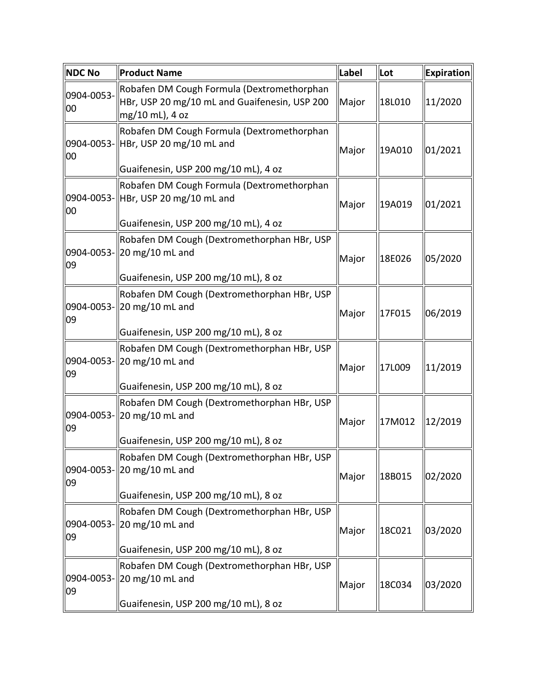| <b>NDC No</b>    | <b>Product Name</b>                                                                                                       | Label | Lot    | Expiration |
|------------------|---------------------------------------------------------------------------------------------------------------------------|-------|--------|------------|
| 0904-0053-<br>00 | Robafen DM Cough Formula (Dextromethorphan<br>HBr, USP 20 mg/10 mL and Guaifenesin, USP 200<br>mg/10 mL), 4 oz            | Major | 18L010 | 11/2020    |
| 00               | Robafen DM Cough Formula (Dextromethorphan<br>0904-0053- HBr, USP 20 mg/10 mL and<br>Guaifenesin, USP 200 mg/10 mL), 4 oz | Major | 19A010 | 01/2021    |
| 00               | Robafen DM Cough Formula (Dextromethorphan<br>0904-0053- HBr, USP 20 mg/10 mL and<br>Guaifenesin, USP 200 mg/10 mL), 4 oz | Major | 19A019 | 01/2021    |
| 09               | Robafen DM Cough (Dextromethorphan HBr, USP<br>0904-0053-20 mg/10 mL and<br>Guaifenesin, USP 200 mg/10 mL), 8 oz          | Major | 18E026 | 05/2020    |
| 09               | Robafen DM Cough (Dextromethorphan HBr, USP<br>0904-0053- 20 mg/10 mL and<br>Guaifenesin, USP 200 mg/10 mL), 8 oz         | Major | 17F015 | 06/2019    |
| 09               | Robafen DM Cough (Dextromethorphan HBr, USP<br>0904-0053-20 mg/10 mL and<br>Guaifenesin, USP 200 mg/10 mL), 8 oz          | Major | 17L009 | 11/2019    |
| 09               | Robafen DM Cough (Dextromethorphan HBr, USP<br>0904-0053-220 mg/10 mL and<br>Guaifenesin, USP 200 mg/10 mL), 8 oz         | Major | 17M012 | 12/2019    |
| 09               | Robafen DM Cough (Dextromethorphan HBr, USP<br>0904-0053-20 mg/10 mL and<br>Guaifenesin, USP 200 mg/10 mL), 8 oz          | Major | 18B015 | 02/2020    |
| 09               | Robafen DM Cough (Dextromethorphan HBr, USP<br>0904-0053-20 mg/10 mL and<br>Guaifenesin, USP 200 mg/10 mL), 8 oz          | Major | 18C021 | 03/2020    |
| 09               | Robafen DM Cough (Dextromethorphan HBr, USP<br>0904-0053-20 mg/10 mL and<br>Guaifenesin, USP 200 mg/10 mL), 8 oz          | Major | 18C034 | 03/2020    |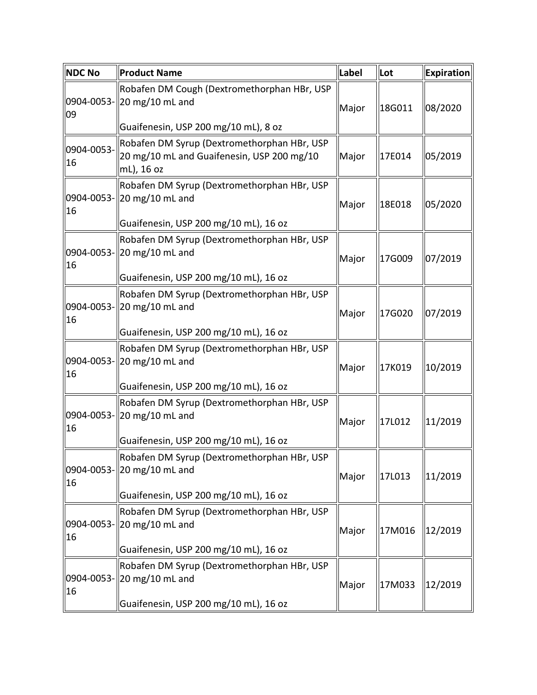| <b>NDC No</b>    | <b>Product Name</b>                                                                                     | Label | Lot    | Expiration |
|------------------|---------------------------------------------------------------------------------------------------------|-------|--------|------------|
| 09               | Robafen DM Cough (Dextromethorphan HBr, USP<br>0904-0053-220 mg/10 mL and                               | Major | 18G011 | 08/2020    |
|                  | Guaifenesin, USP 200 mg/10 mL), 8 oz                                                                    |       |        |            |
| 0904-0053-<br>16 | Robafen DM Syrup (Dextromethorphan HBr, USP<br>20 mg/10 mL and Guaifenesin, USP 200 mg/10<br>mL), 16 oz | Major | 17E014 | 05/2019    |
| 16               | Robafen DM Syrup (Dextromethorphan HBr, USP<br>0904-0053-220 mg/10 mL and                               | Major | 18E018 | 05/2020    |
|                  | Guaifenesin, USP 200 mg/10 mL), 16 oz                                                                   |       |        |            |
| 16               | Robafen DM Syrup (Dextromethorphan HBr, USP<br>0904-0053-20 mg/10 mL and                                | Major | 17G009 | 07/2019    |
|                  | Guaifenesin, USP 200 mg/10 mL), 16 oz                                                                   |       |        |            |
| 16               | Robafen DM Syrup (Dextromethorphan HBr, USP<br>0904-0053- 20 mg/10 mL and                               | Major | 17G020 | 07/2019    |
|                  | Guaifenesin, USP 200 mg/10 mL), 16 oz                                                                   |       |        |            |
| 16               | Robafen DM Syrup (Dextromethorphan HBr, USP<br>0904-0053-20 mg/10 mL and                                | Major | 17K019 | 10/2019    |
|                  | Guaifenesin, USP 200 mg/10 mL), 16 oz                                                                   |       |        |            |
| 16               | Robafen DM Syrup (Dextromethorphan HBr, USP<br>0904-0053-220 mg/10 mL and                               | Major | 17L012 | 11/2019    |
|                  | Guaifenesin, USP 200 mg/10 mL), 16 oz                                                                   |       |        |            |
| 16               | Robafen DM Syrup (Dextromethorphan HBr, USP<br>0904-0053-20 mg/10 mL and                                | Major | 17L013 | 11/2019    |
|                  | Guaifenesin, USP 200 mg/10 mL), 16 oz                                                                   |       |        |            |
| 16               | Robafen DM Syrup (Dextromethorphan HBr, USP<br>0904-0053- 20 mg/10 mL and                               | Major | 17M016 | 12/2019    |
|                  | Guaifenesin, USP 200 mg/10 mL), 16 oz                                                                   |       |        |            |
| 16               | Robafen DM Syrup (Dextromethorphan HBr, USP<br>0904-0053-20 mg/10 mL and                                | Major | 17M033 | 12/2019    |
|                  | Guaifenesin, USP 200 mg/10 mL), 16 oz                                                                   |       |        |            |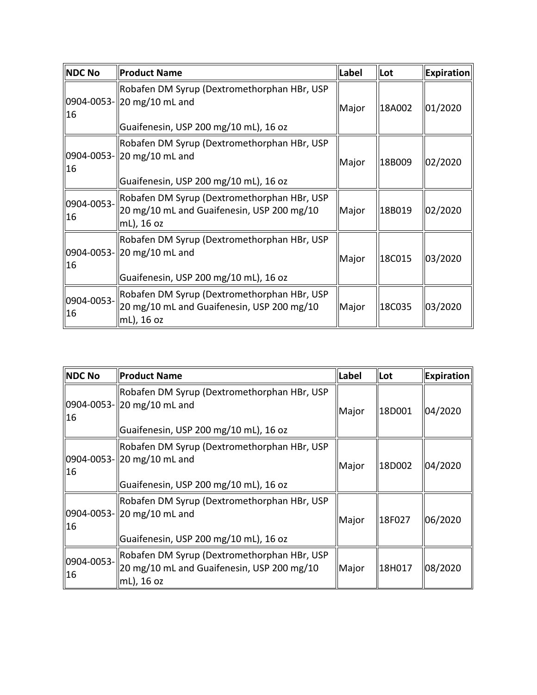| NDC No           | Product Name                                                                                                       | Label  | Lot     | <b>Expiration</b> |
|------------------|--------------------------------------------------------------------------------------------------------------------|--------|---------|-------------------|
| 16               | Robafen DM Syrup (Dextromethorphan HBr, USP<br>0904-0053-20 mg/10 mL and                                           | Major  | 18A002  | 01/2020           |
|                  | Guaifenesin, USP 200 mg/10 mL), 16 oz                                                                              |        |         |                   |
| 16               | Robafen DM Syrup (Dextromethorphan HBr, USP<br>0904-0053-20 mg/10 mL and<br>Major                                  | 18B009 | 02/2020 |                   |
|                  | Guaifenesin, USP 200 mg/10 mL), 16 oz                                                                              |        |         |                   |
| 0904-0053-<br>16 | Robafen DM Syrup (Dextromethorphan HBr, USP)<br>20 mg/10 mL and Guaifenesin, USP 200 mg/10<br>  mL), 16 oz         | Major  | 18B019  | 02/2020           |
| 16               | Robafen DM Syrup (Dextromethorphan HBr, USP)<br>0904-0053-20 mg/10 mL and<br>Guaifenesin, USP 200 mg/10 mL), 16 oz | Major  | 18C015  | 03/2020           |
| 0904-0053-<br>16 | Robafen DM Syrup (Dextromethorphan HBr, USP)<br>20 mg/10 mL and Guaifenesin, USP 200 mg/10<br>  mL), 16 oz         | Major  | 18C035  | 03/2020           |

| NDC No           | Product Name                                                                                              | <b>Label</b> | <b>Lot</b> | <b>Expiration</b> |
|------------------|-----------------------------------------------------------------------------------------------------------|--------------|------------|-------------------|
| 16               | Robafen DM Syrup (Dextromethorphan HBr, USP<br>$\parallel$ 0904-0053- $\parallel$ 20 mg/10 mL and         | Major        | 18D001     | 04/2020           |
|                  | Guaifenesin, USP 200 mg/10 mL), 16 oz                                                                     |              |            |                   |
| 16               | Robafen DM Syrup (Dextromethorphan HBr, USP<br>0904-0053-20 mg/10 mL and                                  | Major        | 18D002     | 04/2020           |
|                  | Guaifenesin, USP 200 mg/10 mL), 16 oz                                                                     |              |            |                   |
| 16               | Robafen DM Syrup (Dextromethorphan HBr, USP<br>0904-0053-20 mg/10 mL and                                  | Major        | 18F027     | 06/2020           |
|                  | Guaifenesin, USP 200 mg/10 mL), 16 oz                                                                     |              |            |                   |
| 0904-0053-<br>16 | Robafen DM Syrup (Dextromethorphan HBr, USP<br>20 mg/10 mL and Guaifenesin, USP 200 mg/10<br>  mL), 16 oz | Major        | 18H017     | 08/2020           |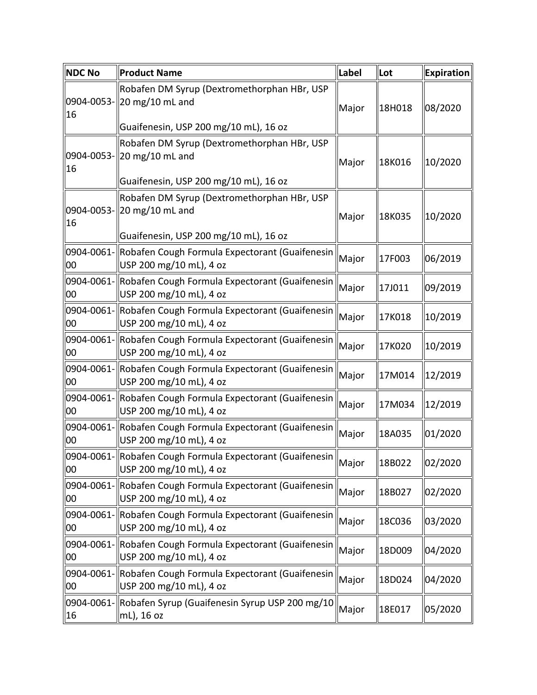| <b>NDC No</b> | Product Name                                                                                | Label | Lot    | Expiration |
|---------------|---------------------------------------------------------------------------------------------|-------|--------|------------|
| 16            | Robafen DM Syrup (Dextromethorphan HBr, USP<br>0904-0053-20 mg/10 mL and                    | Major | 18H018 | 08/2020    |
|               | Guaifenesin, USP 200 mg/10 mL), 16 oz                                                       |       |        |            |
| 16            | Robafen DM Syrup (Dextromethorphan HBr, USP<br>0904-0053-20 mg/10 mL and                    | Major | 18K016 | 10/2020    |
|               | Guaifenesin, USP 200 mg/10 mL), 16 oz                                                       |       |        |            |
| 16            | Robafen DM Syrup (Dextromethorphan HBr, USP<br>0904-0053-220 mg/10 mL and                   | Major | 18K035 | 10/2020    |
|               | Guaifenesin, USP 200 mg/10 mL), 16 oz                                                       |       |        |            |
| 00            | 0904-0061- Robafen Cough Formula Expectorant (Guaifenesin<br>USP 200 mg/10 mL), 4 oz        | Major | 17F003 | 06/2019    |
| 00            | 0904-0061- Robafen Cough Formula Expectorant (Guaifenesin<br> USP 200 mg/10 mL), 4 oz       | Major | 17J011 | 09/2019    |
| 00            | 0904-0061-Robafen Cough Formula Expectorant (Guaifenesin   Major<br>USP 200 mg/10 mL), 4 oz |       | 17K018 | 10/2019    |
| 00            | 0904-0061- Robafen Cough Formula Expectorant (Guaifenesin<br>USP 200 mg/10 mL), 4 oz        | Major | 17K020 | 10/2019    |
| 00            | 0904-0061- Robafen Cough Formula Expectorant (Guaifenesin<br>  USP 200 mg/10 mL), 4 oz      | Major | 17M014 | 12/2019    |
| 00            | 0904-0061- Robafen Cough Formula Expectorant (Guaifenesin<br>USP 200 mg/10 mL), 4 oz        | Major | 17M034 | 12/2019    |
| 00            | 0904-0061- Robafen Cough Formula Expectorant (Guaifenesin<br>  USP 200 mg/10 mL), 4 oz      | Major | 18A035 | 01/2020    |
| 00            | 0904-0061- Robafen Cough Formula Expectorant (Guaifenesin  <br>  USP 200 mg/10 mL), 4 oz    | Major | 18B022 | 02/2020    |
| 00            | 0904-0061-Robafen Cough Formula Expectorant (Guaifenesin   Major<br>USP 200 mg/10 mL), 4 oz |       | 18B027 | 02/2020    |
| 00            | 0904-0061- Robafen Cough Formula Expectorant (Guaifenesin)<br>USP 200 mg/10 mL), 4 oz       | Major | 18C036 | 03/2020    |
| 00            | 0904-0061- Robafen Cough Formula Expectorant (Guaifenesin)<br>USP 200 mg/10 mL), 4 oz       | Major | 18D009 | 04/2020    |
| 00            | 0904-0061- Robafen Cough Formula Expectorant (Guaifenesin)<br>USP 200 mg/10 mL), 4 oz       | Major | 18D024 | 04/2020    |
| 16            | 0904-0061- Robafen Syrup (Guaifenesin Syrup USP 200 mg/10<br>$\parallel$ mL), 16 oz         | Major | 18E017 | 05/2020    |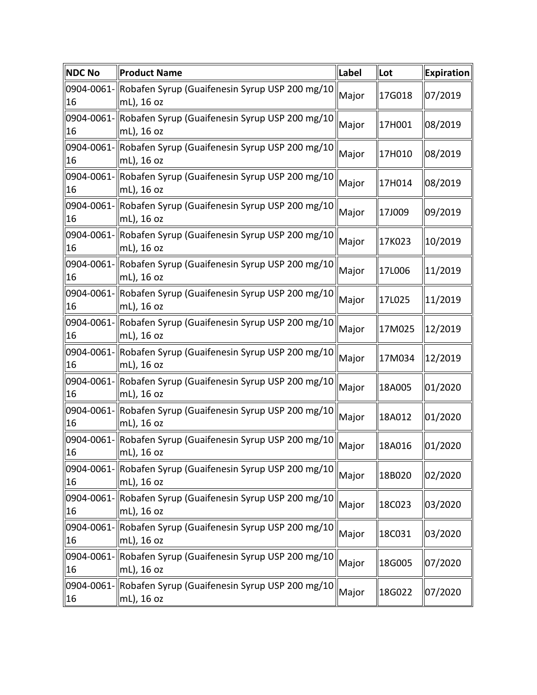| <b>NDC No</b> | <b>Product Name</b>                                                             | Label | Lot    | <b>Expiration</b> |
|---------------|---------------------------------------------------------------------------------|-------|--------|-------------------|
| 16            | 0904-0061- Robafen Syrup (Guaifenesin Syrup USP 200 mg/10<br>$ mL$ ), 16 oz     | Major | 17G018 | 07/2019           |
| 16            | 0904-0061- Robafen Syrup (Guaifenesin Syrup USP 200 mg/10<br>mL), 16 oz         | Major | 17H001 | 08/2019           |
| 16            | 0904-0061- Robafen Syrup (Guaifenesin Syrup USP 200 mg/10<br>$ mL$ ), 16 oz     | Major | 17H010 | 08/2019           |
| 16            | 0904-0061- Robafen Syrup (Guaifenesin Syrup USP 200 mg/10<br>mL), 16 oz         | Major | 17H014 | 08/2019           |
| 16            | 0904-0061- Robafen Syrup (Guaifenesin Syrup USP 200 mg/10<br>$ mL$ ), 16 oz     | Major | 17J009 | 09/2019           |
| 16            | 0904-0061- Robafen Syrup (Guaifenesin Syrup USP 200 mg/10<br>mL), 16 oz         | Major | 17K023 | 10/2019           |
| 16            | 0904-0061- Robafen Syrup (Guaifenesin Syrup USP 200 mg/10<br>mL), 16 oz         | Major | 17L006 | 11/2019           |
| 16            | 0904-0061- Robafen Syrup (Guaifenesin Syrup USP 200 mg/10<br>mL), 16 oz         | Major | 17L025 | 11/2019           |
| 16            | 0904-0061- Robafen Syrup (Guaifenesin Syrup USP 200 mg/10<br>mL), 16 oz         | Major | 17M025 | 12/2019           |
| 16            | 0904-0061- Robafen Syrup (Guaifenesin Syrup USP 200 mg/10<br>mL), 16 oz         | Major | 17M034 | 12/2019           |
| 16            | 0904-0061- Robafen Syrup (Guaifenesin Syrup USP 200 mg/10<br>mL), 16 oz         | Major | 18A005 | 01/2020           |
| 16            | 0904-0061- Robafen Syrup (Guaifenesin Syrup USP 200 mg/10<br>$ mL$ ), 16 oz     | Major | 18A012 | 01/2020           |
| 16            | 0904-0061- Robafen Syrup (Guaifenesin Syrup USP 200 mg/10<br>mL), 16 oz         | Major | 18A016 | 01/2020           |
| 16            | 0904-0061- Robafen Syrup (Guaifenesin Syrup USP 200 mg/10<br>$ mL$ ), 16 oz     | Major | 18B020 | 02/2020           |
| 16            | 0904-0061- Robafen Syrup (Guaifenesin Syrup USP 200 mg/10<br>$ mL$ , 16 oz      | Major | 18C023 | 03/2020           |
| 16            | 0904-0061- Robafen Syrup (Guaifenesin Syrup USP 200 mg/10<br>$\vert$ mL), 16 oz | Major | 18C031 | 03/2020           |
| 16            | 0904-0061- Robafen Syrup (Guaifenesin Syrup USP 200 mg/10<br>mL), 16 oz         | Major | 18G005 | 07/2020           |
| 16            | 0904-0061- Robafen Syrup (Guaifenesin Syrup USP 200 mg/10<br>mL), 16 oz         | Major | 18G022 | 07/2020           |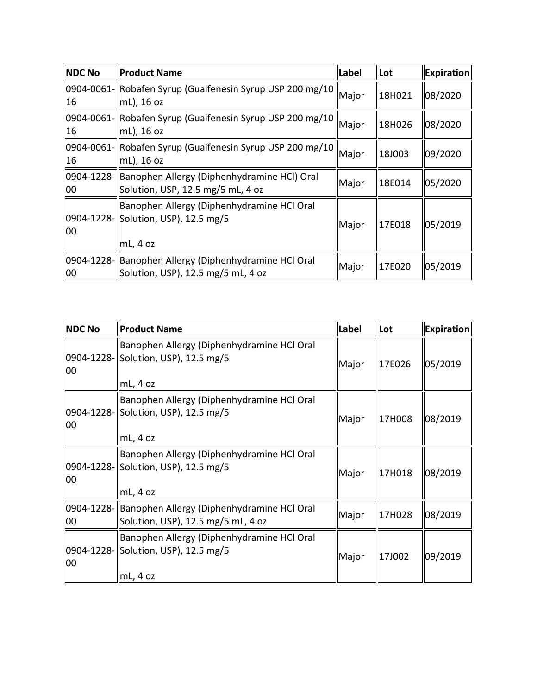| <b>NDC No</b> | Product Name                                                                                               | Label | Lot    | Expiration |
|---------------|------------------------------------------------------------------------------------------------------------|-------|--------|------------|
| 16            | 0904-0061-Robafen Syrup (Guaifenesin Syrup USP 200 mg/10 Major<br>∥mL), 16 oz                              |       | 18H021 | 08/2020    |
| 16            | 0904-0061-  Robafen Syrup (Guaifenesin Syrup USP 200 mg/10  <br>∥mL), 16 oz                                | Major | 18H026 | 08/2020    |
| 16            | 0904-0061-  Robafen Syrup (Guaifenesin Syrup USP 200 mg/10   <br>∥mL), 16 oz                               | Major | 18J003 | 09/2020    |
| 00            | 0904-1228- Banophen Allergy (Diphenhydramine HCl) Oral<br>Solution, USP, 12.5 mg/5 mL, 4 oz                | Major | 18E014 | 05/2020    |
| 00            | Banophen Allergy (Diphenhydramine HCl Oral<br>0904-1228- Solution, USP), 12.5 mg/5<br>$\parallel$ mL, 4 oz | Major | 17E018 | 05/2019    |
| 00            | 0904-1228- Banophen Allergy (Diphenhydramine HCl Oral<br>Solution, USP), 12.5 mg/5 mL, 4 oz                | Major | 17E020 | 05/2019    |

| NDC No | Product Name                                                                                               | Label | Lot    | <b>Expiration</b> |
|--------|------------------------------------------------------------------------------------------------------------|-------|--------|-------------------|
| 00     | Banophen Allergy (Diphenhydramine HCl Oral<br>0904-1228- Solution, USP), 12.5 mg/5<br>$mL, 4$ oz           | Major | 17E026 | 05/2019           |
| 00     | Banophen Allergy (Diphenhydramine HCl Oral<br>0904-1228- Solution, USP), 12.5 mg/5<br>$ mL, 4$ oz          | Major | 17H008 | 08/2019           |
| 00     | Banophen Allergy (Diphenhydramine HCl Oral<br>0904-1228- Solution, USP), 12.5 mg/5<br>$mL, 4$ oz           | Major | 17H018 | 08/2019           |
| 00     | 0904-1228- Banophen Allergy (Diphenhydramine HCl Oral<br>Solution, USP), 12.5 mg/5 mL, 4 oz                | Major | 17H028 | 08/2019           |
| 00     | Banophen Allergy (Diphenhydramine HCl Oral<br>0904-1228- Solution, USP), 12.5 mg/5<br>$\parallel$ mL, 4 oz | Major | 17J002 | 09/2019           |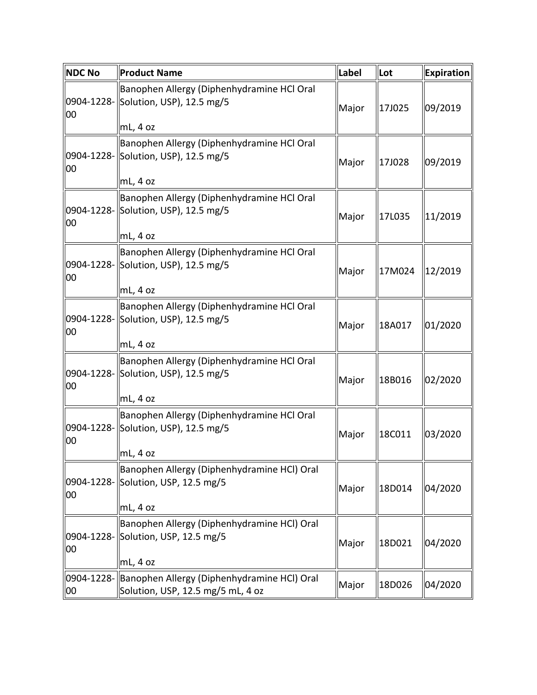| <b>NDC No</b> | <b>Product Name</b>                                                                                            | Label | Lot    | <b>Expiration</b> |
|---------------|----------------------------------------------------------------------------------------------------------------|-------|--------|-------------------|
| 00            | Banophen Allergy (Diphenhydramine HCl Oral<br>0904-1228- Solution, USP), 12.5 mg/5                             | Major | 17J025 | 09/2019           |
|               | mL, 4 oz                                                                                                       |       |        |                   |
| 00            | Banophen Allergy (Diphenhydramine HCl Oral<br>0904-1228- Solution, USP), 12.5 mg/5<br>$mL, 4$ oz               | Major | 17J028 | 09/2019           |
| 00            | Banophen Allergy (Diphenhydramine HCl Oral<br>0904-1228- Solution, USP), 12.5 mg/5<br>$mL, 4$ oz               | Major | 17L035 | 11/2019           |
| 00            | Banophen Allergy (Diphenhydramine HCl Oral<br>0904-1228- Solution, USP), 12.5 mg/5<br>mL, 4 oz                 | Major | 17M024 | 12/2019           |
| 00            | Banophen Allergy (Diphenhydramine HCl Oral<br>0904-1228- Solution, USP), 12.5 mg/5                             | Major | 18A017 | 01/2020           |
| 00            | $mL, 4$ oz<br>Banophen Allergy (Diphenhydramine HCl Oral<br>0904-1228- Solution, USP), 12.5 mg/5<br>$mL, 4$ oz | Major | 18B016 | 02/2020           |
| 00            | Banophen Allergy (Diphenhydramine HCl Oral<br>0904-1228- Solution, USP), 12.5 mg/5<br>$\parallel$ mL, 4 oz     | Major | 18C011 | 03/2020           |
| 00            | Banophen Allergy (Diphenhydramine HCl) Oral<br>0904-1228- Solution, USP, 12.5 mg/5<br>$mL, 4$ oz               | Major | 18D014 | 04/2020           |
| 00            | Banophen Allergy (Diphenhydramine HCl) Oral<br>0904-1228- Solution, USP, 12.5 mg/5<br>mL, 4 oz                 | Major | 18D021 | 04/2020           |
| 00            | 0904-1228- Banophen Allergy (Diphenhydramine HCl) Oral<br>Solution, USP, 12.5 mg/5 mL, 4 oz                    | Major | 18D026 | 04/2020           |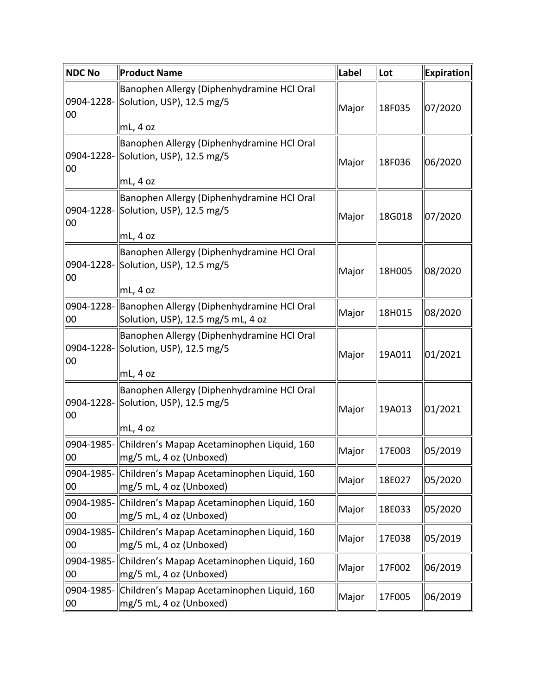| NDC No           | <b>Product Name</b>                                                                              | Label | Lot    | <b>Expiration</b> |
|------------------|--------------------------------------------------------------------------------------------------|-------|--------|-------------------|
| 00               | Banophen Allergy (Diphenhydramine HCl Oral<br>0904-1228- Solution, USP), 12.5 mg/5               | Major | 18F035 | 07/2020           |
|                  | $mL, 4$ oz                                                                                       |       |        |                   |
| 00               | Banophen Allergy (Diphenhydramine HCl Oral<br>0904-1228- Solution, USP), 12.5 mg/5               | Major | 18F036 | 06/2020           |
|                  | mL, 4 oz                                                                                         |       |        |                   |
| 00               | Banophen Allergy (Diphenhydramine HCl Oral<br>0904-1228- Solution, USP), 12.5 mg/5               | Major | 18G018 | 07/2020           |
|                  | mL, 4 oz                                                                                         |       |        |                   |
| 00               | Banophen Allergy (Diphenhydramine HCl Oral<br>0904-1228- Solution, USP), 12.5 mg/5               | Major | 18H005 | 08/2020           |
|                  | mL, 4 oz                                                                                         |       |        |                   |
| 00               | 0904-1228- Banophen Allergy (Diphenhydramine HCl Oral<br>Solution, USP), 12.5 mg/5 mL, 4 oz      | Major | 18H015 | 08/2020           |
| 00               | Banophen Allergy (Diphenhydramine HCl Oral<br>0904-1228- Solution, USP), 12.5 mg/5               | Major | 19A011 | 01/2021           |
|                  | mL, 4 oz                                                                                         |       |        |                   |
| 00               | Banophen Allergy (Diphenhydramine HCl Oral<br>0904-1228- Solution, USP), 12.5 mg/5<br>mL, 4 oz   | Major | 19A013 | 01/2021           |
| 00               | 0904-1985- Children's Mapap Acetaminophen Liquid, 160<br>$\left \right $ mg/5 mL, 4 oz (Unboxed) | Major | 17E003 | 05/2019           |
| 00               | 0904-1985- Children's Mapap Acetaminophen Liquid, 160<br>$mg/5$ mL, 4 oz (Unboxed)               | Major | 18E027 | 05/2020           |
| 00               | 0904-1985- Children's Mapap Acetaminophen Liquid, 160<br>mg/5 mL, 4 oz (Unboxed)                 | Major | 18E033 | 05/2020           |
| 00               | 0904-1985- Children's Mapap Acetaminophen Liquid, 160<br>$mg/5$ mL, 4 oz (Unboxed)               | Major | 17E038 | 05/2019           |
| 0904-1985-<br>00 | Children's Mapap Acetaminophen Liquid, 160<br>mg/5 mL, 4 oz (Unboxed)                            | Major | 17F002 | 06/2019           |
| 00               | 0904-1985- Children's Mapap Acetaminophen Liquid, 160<br>$mg/5$ mL, 4 oz (Unboxed)               | Major | 17F005 | 06/2019           |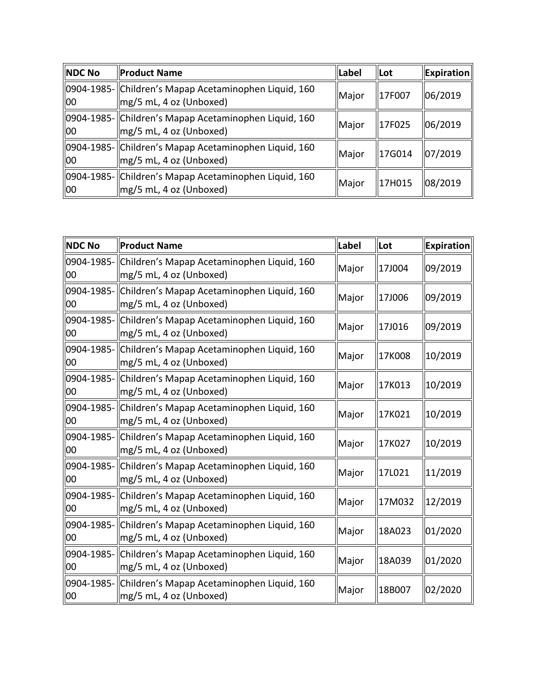| <b>NDC No</b>    | <b>Product Name</b>                                                                          | <b>Label</b> | <b>Lot</b>    | $\ $ Expiration $\ $ |
|------------------|----------------------------------------------------------------------------------------------|--------------|---------------|----------------------|
| 00               | 0904-1985- Children's Mapap Acetaminophen Liquid, 160<br>$\parallel$ mg/5 mL, 4 oz (Unboxed) | Major        | 17F007        | 06/2019              |
| 100              | 0904-1985- Children's Mapap Acetaminophen Liquid, 160<br>$\vert$ mg/5 mL, 4 oz (Unboxed)     | Major        | 17F025        | 06/2019              |
| 00               | 0904-1985- Children's Mapap Acetaminophen Liquid, 160<br>$\parallel$ mg/5 mL, 4 oz (Unboxed) | Major        | <b>17G014</b> | 07/2019              |
| $\overline{100}$ | 0904-1985- Children's Mapap Acetaminophen Liquid, 160<br>$\vert$ mg/5 mL, 4 oz (Unboxed)     | Major        | 17H015        | 08/2019              |

| <b>NDC No</b> | <b>Product Name</b>                                                                      | Label | Lot    | Expiration |
|---------------|------------------------------------------------------------------------------------------|-------|--------|------------|
| $00\,$        | 0904-1985- Children's Mapap Acetaminophen Liquid, 160<br>$mg/5$ mL, 4 oz (Unboxed)       | Major | 17J004 | 09/2019    |
| $00\,$        | 0904-1985- Children's Mapap Acetaminophen Liquid, 160<br>mg/5 mL, 4 oz (Unboxed)         | Major | 17J006 | 09/2019    |
| 00            | 0904-1985- Children's Mapap Acetaminophen Liquid, 160<br>$\log$ /5 mL, 4 oz (Unboxed)    | Major | 17J016 | 09/2019    |
| 00            | 0904-1985- Children's Mapap Acetaminophen Liquid, 160<br>mg/5 mL, 4 oz (Unboxed)         | Major | 17K008 | 10/2019    |
| 00            | 0904-1985- Children's Mapap Acetaminophen Liquid, 160<br>mg/5 mL, 4 oz (Unboxed)         | Major | 17K013 | 10/2019    |
| 00            | 0904-1985- Children's Mapap Acetaminophen Liquid, 160<br>$\log$ /5 mL, 4 oz (Unboxed)    | Major | 17K021 | 10/2019    |
| 00            | 0904-1985- Children's Mapap Acetaminophen Liquid, 160<br>$\vert$ mg/5 mL, 4 oz (Unboxed) | Major | 17K027 | 10/2019    |
| 00            | 0904-1985- Children's Mapap Acetaminophen Liquid, 160<br>$\log$ /5 mL, 4 oz (Unboxed)    | Major | 17L021 | 11/2019    |
| 00            | 0904-1985- Children's Mapap Acetaminophen Liquid, 160<br>mg/5 mL, 4 oz (Unboxed)         | Major | 17M032 | 12/2019    |
| 00            | 0904-1985- Children's Mapap Acetaminophen Liquid, 160<br>mg/5 mL, 4 oz (Unboxed)         | Major | 18A023 | 01/2020    |
| 00            | 0904-1985- Children's Mapap Acetaminophen Liquid, 160<br>$\vert$ mg/5 mL, 4 oz (Unboxed) | Major | 18A039 | 01/2020    |
| 00            | 0904-1985- Children's Mapap Acetaminophen Liquid, 160<br>$\log$ /5 mL, 4 oz (Unboxed)    | Major | 18B007 | 02/2020    |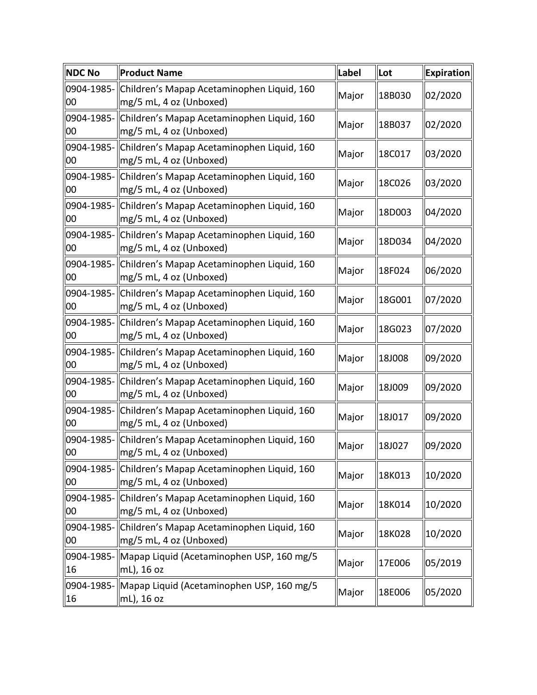| <b>NDC No</b> | Product Name                                                                                 | Label | Lot    | Expiration |
|---------------|----------------------------------------------------------------------------------------------|-------|--------|------------|
| 00            | 0904-1985- Children's Mapap Acetaminophen Liquid, 160<br>$\parallel$ mg/5 mL, 4 oz (Unboxed) | Major | 18B030 | 02/2020    |
| 00            | 0904-1985- Children's Mapap Acetaminophen Liquid, 160<br>mg/5 mL, 4 oz (Unboxed)             | Major | 18B037 | 02/2020    |
| 00            | 0904-1985- Children's Mapap Acetaminophen Liquid, 160<br>mg/5 mL, 4 oz (Unboxed)             | Major | 18C017 | 03/2020    |
| 00            | 0904-1985- Children's Mapap Acetaminophen Liquid, 160<br>mg/5 mL, 4 oz (Unboxed)             | Major | 18C026 | 03/2020    |
| 00            | 0904-1985- Children's Mapap Acetaminophen Liquid, 160<br>$\parallel$ mg/5 mL, 4 oz (Unboxed) | Major | 18D003 | 04/2020    |
| 00            | 0904-1985- Children's Mapap Acetaminophen Liquid, 160<br>mg/5 mL, 4 oz (Unboxed)             | Major | 18D034 | 04/2020    |
| 00            | 0904-1985- Children's Mapap Acetaminophen Liquid, 160<br>mg/5 mL, 4 oz (Unboxed)             | Major | 18F024 | 06/2020    |
| 00            | 0904-1985- Children's Mapap Acetaminophen Liquid, 160<br>mg/5 mL, 4 oz (Unboxed)             | Major | 18G001 | 07/2020    |
| 00            | 0904-1985- Children's Mapap Acetaminophen Liquid, 160<br>mg/5 mL, 4 oz (Unboxed)             | Major | 18G023 | 07/2020    |
| 00            | 0904-1985- Children's Mapap Acetaminophen Liquid, 160<br>$\parallel$ mg/5 mL, 4 oz (Unboxed) | Major | 18J008 | 09/2020    |
| 00            | 0904-1985- Children's Mapap Acetaminophen Liquid, 160<br>$\parallel$ mg/5 mL, 4 oz (Unboxed) | Major | 18J009 | 09/2020    |
| 00            | 0904-1985- Children's Mapap Acetaminophen Liquid, 160<br>$\parallel$ mg/5 mL, 4 oz (Unboxed) | Major | 18J017 | 09/2020    |
| 00            | 0904-1985- Children's Mapap Acetaminophen Liquid, 160<br>$\parallel$ mg/5 mL, 4 oz (Unboxed) | Major | 18J027 | 09/2020    |
| 00            | 0904-1985- Children's Mapap Acetaminophen Liquid, 160<br>$\parallel$ mg/5 mL, 4 oz (Unboxed) | Major | 18K013 | 10/2020    |
| 00            | 0904-1985- Children's Mapap Acetaminophen Liquid, 160<br>$\parallel$ mg/5 mL, 4 oz (Unboxed) | Major | 18K014 | 10/2020    |
| 00            | 0904-1985- Children's Mapap Acetaminophen Liquid, 160<br>mg/5 mL, 4 oz (Unboxed)             | Major | 18K028 | 10/2020    |
| 16            | 0904-1985- Mapap Liquid (Acetaminophen USP, 160 mg/5<br>mL), 16 oz                           | Major | 17E006 | 05/2019    |
| 16            | 0904-1985- Mapap Liquid (Acetaminophen USP, 160 mg/5<br>mL), 16 oz                           | Major | 18E006 | 05/2020    |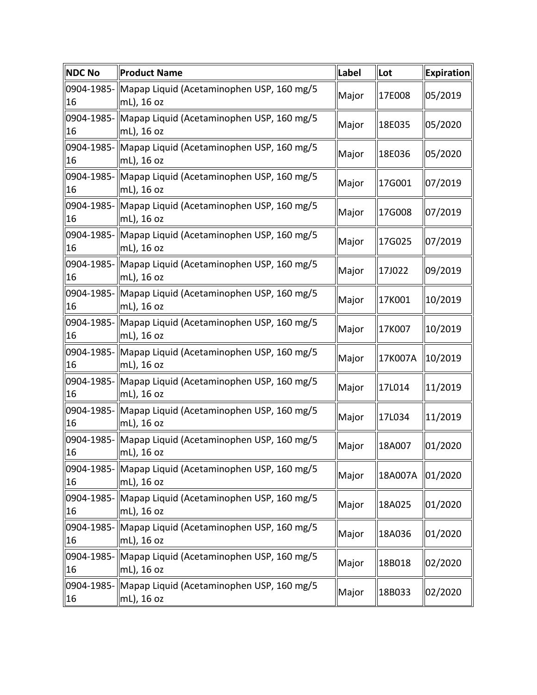| NDC No | Product Name                                                                   | Label | Lot     | <b>Expiration</b> |
|--------|--------------------------------------------------------------------------------|-------|---------|-------------------|
| 16     | 0904-1985- Mapap Liquid (Acetaminophen USP, 160 mg/5<br>$\parallel$ mL), 16 oz | Major | 17E008  | 05/2019           |
| 16     | 0904-1985- Mapap Liquid (Acetaminophen USP, 160 mg/5<br>mL), 16 oz             | Major | 18E035  | 05/2020           |
| 16     | 0904-1985- Mapap Liquid (Acetaminophen USP, 160 mg/5<br>mL), 16 oz             | Major | 18E036  | 05/2020           |
| 16     | 0904-1985- Mapap Liquid (Acetaminophen USP, 160 mg/5<br>$\vert$ mL), 16 oz     | Major | 17G001  | 07/2019           |
| 16     | 0904-1985- Mapap Liquid (Acetaminophen USP, 160 mg/5<br>$\parallel$ mL), 16 oz | Major | 17G008  | 07/2019           |
| 16     | 0904-1985- Mapap Liquid (Acetaminophen USP, 160 mg/5<br>$\parallel$ mL), 16 oz | Major | 17G025  | 07/2019           |
| 16     | 0904-1985- Mapap Liquid (Acetaminophen USP, 160 mg/5<br>mL), 16 oz             | Major | 17J022  | 09/2019           |
| 16     | 0904-1985- Mapap Liquid (Acetaminophen USP, 160 mg/5<br>mL), 16 oz             | Major | 17K001  | 10/2019           |
| 16     | 0904-1985- Mapap Liquid (Acetaminophen USP, 160 mg/5<br>mL), 16 oz             | Major | 17K007  | 10/2019           |
| 16     | 0904-1985- Mapap Liquid (Acetaminophen USP, 160 mg/5<br>$\parallel$ mL), 16 oz | Major | 17K007A | 10/2019           |
| 16     | 0904-1985- Mapap Liquid (Acetaminophen USP, 160 mg/5<br>$\parallel$ mL), 16 oz | Major | 17L014  | 11/2019           |
| 16     | 0904-1985- Mapap Liquid (Acetaminophen USP, 160 mg/5<br>mL), 16 oz             | Major | 17L034  | 11/2019           |
| 16     | 0904-1985- Mapap Liquid (Acetaminophen USP, 160 mg/5<br>  mL), 16 oz           | Major | 18A007  | 01/2020           |
| 16     | 0904-1985- Mapap Liquid (Acetaminophen USP, 160 mg/5<br>mL), 16 oz             | Major | 18A007A | 01/2020           |
| 16     | 0904-1985- Mapap Liquid (Acetaminophen USP, 160 mg/5<br>$mL$ , 16 oz           | Major | 18A025  | 01/2020           |
| 16     | 0904-1985- Mapap Liquid (Acetaminophen USP, 160 mg/5<br>$\parallel$ mL), 16 oz | Major | 18A036  | 01/2020           |
| 16     | 0904-1985- Mapap Liquid (Acetaminophen USP, 160 mg/5<br>$\parallel$ mL), 16 oz | Major | 18B018  | 02/2020           |
| 16     | 0904-1985- Mapap Liquid (Acetaminophen USP, 160 mg/5<br>$\parallel$ mL), 16 oz | Major | 18B033  | 02/2020           |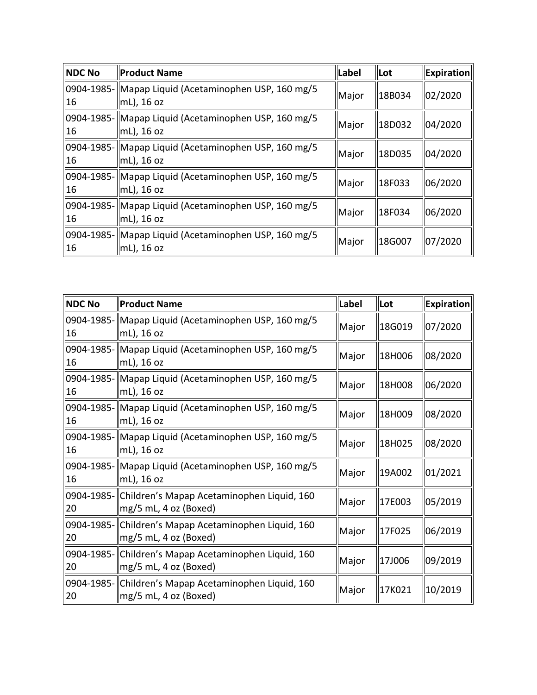| <b>NDC No</b> | <b>Product Name</b>                                                        | Label | Lot    | <b>Expiration</b> |
|---------------|----------------------------------------------------------------------------|-------|--------|-------------------|
| 16            | 0904-1985- Mapap Liquid (Acetaminophen USP, 160 mg/5<br>$\vert$ mL), 16 oz | Major | 18B034 | 02/2020           |
| 16            | 0904-1985- Mapap Liquid (Acetaminophen USP, 160 mg/5<br>$\vert$ mL), 16 oz | Major | 18D032 | 04/2020           |
| 16            | 0904-1985- Mapap Liquid (Acetaminophen USP, 160 mg/5<br>$\vert$ mL), 16 oz | Major | 18D035 | 04/2020           |
| 16            | 0904-1985- Mapap Liquid (Acetaminophen USP, 160 mg/5<br>$\vert$ mL), 16 oz | Major | 18F033 | 06/2020           |
| 16            | 0904-1985- Mapap Liquid (Acetaminophen USP, 160 mg/5<br>$\vert$ mL), 16 oz | Major | 18F034 | 06/2020           |
| 16            | 0904-1985- Mapap Liquid (Acetaminophen USP, 160 mg/5<br>$\vert$ mL), 16 oz | Major | 18G007 | 07/2020           |

| <b>NDC No</b> | <b>Product Name</b>                                                                    | Label | Lot    | <b>Expiration</b> |
|---------------|----------------------------------------------------------------------------------------|-------|--------|-------------------|
| 16            | 0904-1985- Mapap Liquid (Acetaminophen USP, 160 mg/5<br>$ mL$ ), 16 oz                 | Major | 18G019 | 07/2020           |
| 16            | 0904-1985- Mapap Liquid (Acetaminophen USP, 160 mg/5<br>$mL$ , 16 oz                   | Major | 18H006 | 08/2020           |
| 16            | 0904-1985- Mapap Liquid (Acetaminophen USP, 160 mg/5<br>$mL$ , 16 oz                   | Major | 18H008 | 06/2020           |
| 16            | 0904-1985- Mapap Liquid (Acetaminophen USP, 160 mg/5<br>$ mL$ , 16 oz                  | Major | 18H009 | 08/2020           |
| 16            | 0904-1985- Mapap Liquid (Acetaminophen USP, 160 mg/5<br>$\vert$ mL), 16 oz             | Major | 18H025 | 08/2020           |
| 16            | 0904-1985- Mapap Liquid (Acetaminophen USP, 160 mg/5<br>$ mL$ , 16 oz                  | Major | 19A002 | 01/2021           |
| 20            | 0904-1985- Children's Mapap Acetaminophen Liquid, 160<br>$\vert mg/5$ mL, 4 oz (Boxed) | Major | 17E003 | 05/2019           |
| 20            | 0904-1985- Children's Mapap Acetaminophen Liquid, 160<br>$mg/5$ mL, 4 oz (Boxed)       | Major | 17F025 | 06/2019           |
| 20            | 0904-1985- Children's Mapap Acetaminophen Liquid, 160<br>$\vert mg/5$ mL, 4 oz (Boxed) | Major | 17J006 | 09/2019           |
| 20            | 0904-1985- Children's Mapap Acetaminophen Liquid, 160<br>$\vert mg/5$ mL, 4 oz (Boxed) | Major | 17K021 | 10/2019           |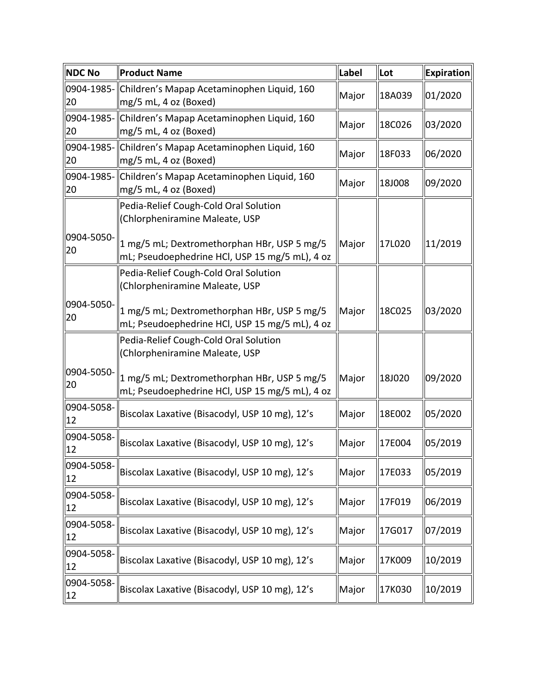| NDC No            | <b>Product Name</b>                                                                           | Label | Lot    | <b>Expiration</b> |
|-------------------|-----------------------------------------------------------------------------------------------|-------|--------|-------------------|
| 20                | 0904-1985- Children's Mapap Acetaminophen Liquid, 160<br>$mg/5$ mL, 4 oz (Boxed)              | Major | 18A039 | 01/2020           |
| 20                | 0904-1985- Children's Mapap Acetaminophen Liquid, 160<br>mg/5 mL, 4 oz (Boxed)                | Major | 18C026 | 03/2020           |
| 20                | 0904-1985- Children's Mapap Acetaminophen Liquid, 160<br>mg/5 mL, 4 oz (Boxed)                | Major | 18F033 | 06/2020           |
| 20                | 0904-1985- Children's Mapap Acetaminophen Liquid, 160<br>$mg/5$ mL, 4 oz (Boxed)              | Major | 18J008 | 09/2020           |
|                   | Pedia-Relief Cough-Cold Oral Solution<br>(Chlorpheniramine Maleate, USP                       |       |        |                   |
| 0904-5050-<br>20  | 1 mg/5 mL; Dextromethorphan HBr, USP 5 mg/5<br>mL; Pseudoephedrine HCl, USP 15 mg/5 mL), 4 oz | Major | 17L020 | 11/2019           |
|                   | Pedia-Relief Cough-Cold Oral Solution<br>(Chlorpheniramine Maleate, USP                       |       |        |                   |
| 0904-5050-<br>20  | 1 mg/5 mL; Dextromethorphan HBr, USP 5 mg/5<br>mL; Pseudoephedrine HCl, USP 15 mg/5 mL), 4 oz | Major | 18C025 | 03/2020           |
|                   | Pedia-Relief Cough-Cold Oral Solution<br>(Chlorpheniramine Maleate, USP                       |       |        |                   |
| 0904-5050-<br>20  | 1 mg/5 mL; Dextromethorphan HBr, USP 5 mg/5<br>mL; Pseudoephedrine HCl, USP 15 mg/5 mL), 4 oz | Major | 18J020 | 09/2020           |
| 0904-5058-<br> 12 | Biscolax Laxative (Bisacodyl, USP 10 mg), 12's                                                | Major | 18E002 | 05/2020           |
| 0904-5058-<br>12  | Biscolax Laxative (Bisacodyl, USP 10 mg), 12's                                                | Major | 17E004 | 05/2019           |
| 0904-5058-<br>12  | Biscolax Laxative (Bisacodyl, USP 10 mg), 12's                                                | Major | 17E033 | 05/2019           |
| 0904-5058-<br>12  | Biscolax Laxative (Bisacodyl, USP 10 mg), 12's                                                | Major | 17F019 | 06/2019           |
| 0904-5058-<br>12  | Biscolax Laxative (Bisacodyl, USP 10 mg), 12's                                                | Major | 17G017 | 07/2019           |
| 0904-5058-<br>12  | Biscolax Laxative (Bisacodyl, USP 10 mg), 12's                                                | Major | 17K009 | 10/2019           |
| 0904-5058-<br> 12 | Biscolax Laxative (Bisacodyl, USP 10 mg), 12's                                                | Major | 17K030 | 10/2019           |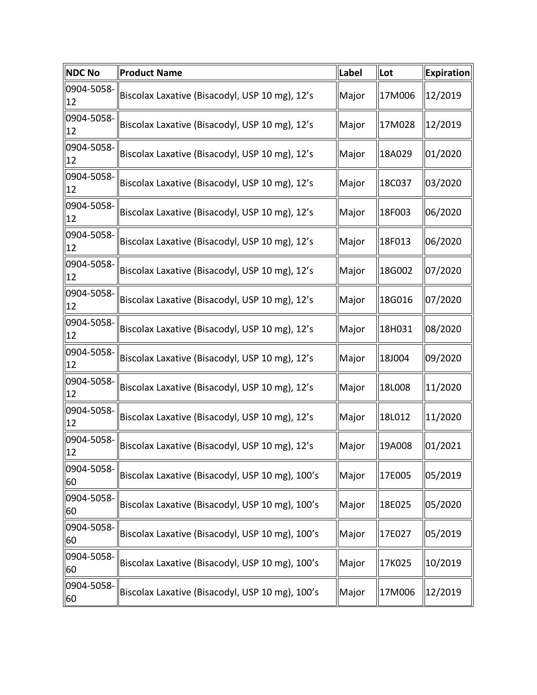| NDC No                     | <b>Product Name</b>                             | Label | Lot    | <b>Expiration</b> |
|----------------------------|-------------------------------------------------|-------|--------|-------------------|
| 0904-5058-<br>12           | Biscolax Laxative (Bisacodyl, USP 10 mg), 12's  | Major | 17M006 | 12/2019           |
| 0904-5058-<br>12           | Biscolax Laxative (Bisacodyl, USP 10 mg), 12's  | Major | 17M028 | 12/2019           |
| 0904-5058-<br>12           | Biscolax Laxative (Bisacodyl, USP 10 mg), 12's  | Major | 18A029 | 01/2020           |
| 0904-5058-<br>12           | Biscolax Laxative (Bisacodyl, USP 10 mg), 12's  | Major | 18C037 | 03/2020           |
| 0904-5058-<br>12           | Biscolax Laxative (Bisacodyl, USP 10 mg), 12's  | Major | 18F003 | 06/2020           |
| 0904-5058-<br>12           | Biscolax Laxative (Bisacodyl, USP 10 mg), 12's  | Major | 18F013 | 06/2020           |
| 0904-5058-<br>12           | Biscolax Laxative (Bisacodyl, USP 10 mg), 12's  | Major | 18G002 | 07/2020           |
| 0904-5058-<br> 12          | Biscolax Laxative (Bisacodyl, USP 10 mg), 12's  | Major | 18G016 | 07/2020           |
| 0904-5058-<br>12           | Biscolax Laxative (Bisacodyl, USP 10 mg), 12's  | Major | 18H031 | 08/2020           |
| 0904-5058-<br>$ 12\rangle$ | Biscolax Laxative (Bisacodyl, USP 10 mg), 12's  | Major | 18J004 | 09/2020           |
| 0904-5058-<br>12           | Biscolax Laxative (Bisacodyl, USP 10 mg), 12's  | Major | 18L008 | 11/2020           |
| 0904-5058-<br>12           | Biscolax Laxative (Bisacodyl, USP 10 mg), 12's  | Major | 18L012 | 11/2020           |
| 0904-5058-<br> 12          | Biscolax Laxative (Bisacodyl, USP 10 mg), 12's  | Major | 19A008 | 01/2021           |
| 0904-5058-<br>60           | Biscolax Laxative (Bisacodyl, USP 10 mg), 100's | Major | 17E005 | 05/2019           |
| 0904-5058<br>60            | Biscolax Laxative (Bisacodyl, USP 10 mg), 100's | Major | 18E025 | 05/2020           |
| 0904-5058-<br>60           | Biscolax Laxative (Bisacodyl, USP 10 mg), 100's | Major | 17E027 | 05/2019           |
| 0904-5058-<br>60           | Biscolax Laxative (Bisacodyl, USP 10 mg), 100's | Major | 17K025 | 10/2019           |
| 0904-5058-<br>60           | Biscolax Laxative (Bisacodyl, USP 10 mg), 100's | Major | 17M006 | 12/2019           |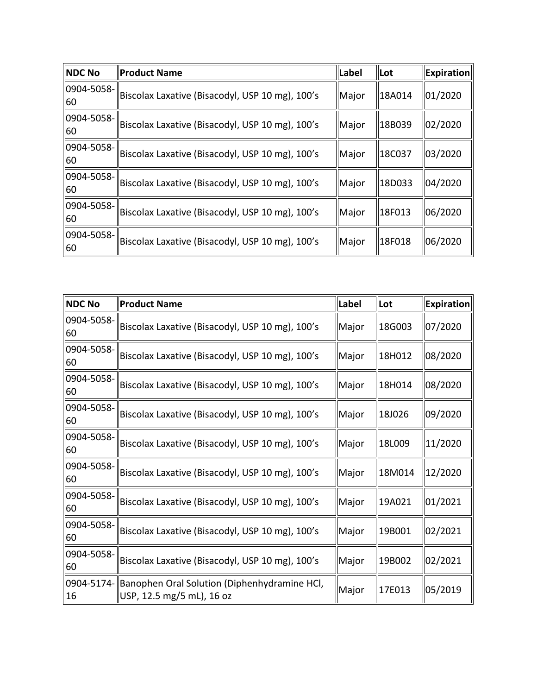| <b>NDC No</b>               | <b>Product Name</b>                                                              | Label | lLot   | <b>Expiration</b> |
|-----------------------------|----------------------------------------------------------------------------------|-------|--------|-------------------|
| 60                          | $\left\  0904 - 5058 - \right\ $ Biscolax Laxative (Bisacodyl, USP 10 mg), 100's | Major | 18A014 | 01/2020           |
| 160                         | $\left\  0904 - 5058 - \right\ $ Biscolax Laxative (Bisacodyl, USP 10 mg), 100's | Major | 18B039 | 02/2020           |
| 0904-5058-<br>60            | Biscolax Laxative (Bisacodyl, USP 10 mg), 100's                                  | Major | 18C037 | 03/2020           |
| $ 0904 - 5058 -  $<br>160   | Biscolax Laxative (Bisacodyl, USP 10 mg), 100's                                  | Major | 18D033 | 04/2020           |
| $\ 0904 - 5058 - \ $<br>160 | Biscolax Laxative (Bisacodyl, USP 10 mg), 100's                                  | Major | 18F013 | 06/2020           |
| $ 0904 - 5058 -  $<br>60    | Biscolax Laxative (Bisacodyl, USP 10 mg), 100's                                  | Major | 18F018 | 06/2020           |

| <b>NDC No</b>    | <b>Product Name</b>                                                                  | Label | Lot    | <b>Expiration</b> |
|------------------|--------------------------------------------------------------------------------------|-------|--------|-------------------|
| 0904-5058-<br>60 | Biscolax Laxative (Bisacodyl, USP 10 mg), 100's                                      | Major | 18G003 | 07/2020           |
| 0904-5058-<br>60 | Biscolax Laxative (Bisacodyl, USP 10 mg), 100's                                      | Major | 18H012 | 08/2020           |
| 0904-5058-<br>60 | Biscolax Laxative (Bisacodyl, USP 10 mg), 100's                                      | Major | 18H014 | 08/2020           |
| 0904-5058-<br>60 | Biscolax Laxative (Bisacodyl, USP 10 mg), 100's                                      | Major | 18J026 | 09/2020           |
| 0904-5058-<br>60 | Biscolax Laxative (Bisacodyl, USP 10 mg), 100's                                      | Major | 18L009 | 11/2020           |
| 0904-5058-<br>60 | Biscolax Laxative (Bisacodyl, USP 10 mg), 100's                                      | Major | 18M014 | 12/2020           |
| 0904-5058-<br>60 | Biscolax Laxative (Bisacodyl, USP 10 mg), 100's                                      | Major | 19A021 | 01/2021           |
| 0904-5058-<br>60 | Biscolax Laxative (Bisacodyl, USP 10 mg), 100's                                      | Major | 19B001 | 02/2021           |
| 0904-5058-<br>60 | Biscolax Laxative (Bisacodyl, USP 10 mg), 100's                                      | Major | 19B002 | 02/2021           |
| 16               | 0904-5174- Banophen Oral Solution (Diphenhydramine HCl,<br>USP, 12.5 mg/5 mL), 16 oz | Major | 17E013 | 05/2019           |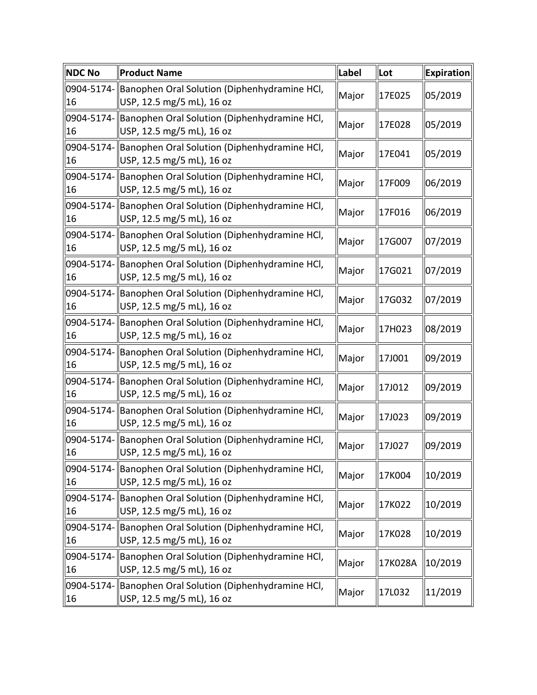| <b>NDC No</b> | <b>Product Name</b>                                                                     | Label | <b>Lot</b> | <b>Expiration</b> |
|---------------|-----------------------------------------------------------------------------------------|-------|------------|-------------------|
| 16            | 0904-5174-  Banophen Oral Solution (Diphenhydramine HCl,<br>USP, 12.5 mg/5 mL), 16 oz   | Major | 17E025     | 05/2019           |
| 16            | 0904-5174-  Banophen Oral Solution (Diphenhydramine HCl,<br>USP, 12.5 mg/5 mL), 16 oz   | Major | 17E028     | 05/2019           |
| 16            | 0904-5174-  Banophen Oral Solution (Diphenhydramine HCl,<br>USP, 12.5 mg/5 mL), 16 oz   | Major | 17E041     | 05/2019           |
| 16            | 0904-5174-  Banophen Oral Solution (Diphenhydramine HCl,<br>USP, 12.5 mg/5 mL), 16 oz   | Major | 17F009     | 06/2019           |
| 16            | 0904-5174-  Banophen Oral Solution (Diphenhydramine HCl,<br>USP, 12.5 mg/5 mL), 16 oz   | Major | 17F016     | 06/2019           |
| 16            | 0904-5174-  Banophen Oral Solution (Diphenhydramine HCl,<br>USP, 12.5 mg/5 mL), 16 oz   | Major | 17G007     | 07/2019           |
| 16            | 0904-5174- Banophen Oral Solution (Diphenhydramine HCl,<br>USP, 12.5 mg/5 mL), 16 oz    | Major | 17G021     | 07/2019           |
| 16            | 0904-5174- Banophen Oral Solution (Diphenhydramine HCl,<br>USP, 12.5 mg/5 mL), 16 oz    | Major | 17G032     | 07/2019           |
| 16            | 0904-5174-  Banophen Oral Solution (Diphenhydramine HCl,<br>USP, 12.5 mg/5 mL), 16 oz   | Major | 17H023     | 08/2019           |
| 16            | 0904-5174-  Banophen Oral Solution (Diphenhydramine HCl,<br>USP, 12.5 mg/5 mL), 16 oz   | Major | 17J001     | 09/2019           |
| 16            | 0904-5174-  Banophen Oral Solution (Diphenhydramine HCl,<br>USP, 12.5 mg/5 mL), 16 oz   | Major | 17J012     | 09/2019           |
| 16            | 0904-5174- Banophen Oral Solution (Diphenhydramine HCl,<br>USP, 12.5 mg/5 mL), 16 oz    | Major | 17J023     | 09/2019           |
| 16            | 0904-5174-  Banophen Oral Solution (Diphenhydramine HCl,<br>  USP, 12.5 mg/5 mL), 16 oz | Major | 17J027     | 09/2019           |
| 16            | 0904-5174-  Banophen Oral Solution (Diphenhydramine HCl,<br>USP, 12.5 mg/5 mL), 16 oz   | Major | 17K004     | 10/2019           |
| 16            | 0904-5174-  Banophen Oral Solution (Diphenhydramine HCl,<br>USP, 12.5 mg/5 mL), 16 oz   | Major | 17K022     | 10/2019           |
| 16            | 0904-5174-  Banophen Oral Solution (Diphenhydramine HCl,<br>USP, 12.5 mg/5 mL), 16 oz   | Major | 17K028     | 10/2019           |
| 16            | 0904-5174-  Banophen Oral Solution (Diphenhydramine HCl,<br>USP, 12.5 mg/5 mL), 16 oz   | Major | 17K028A    | 10/2019           |
| $\vert$ 16    | 0904-5174-  Banophen Oral Solution (Diphenhydramine HCl,<br>USP, 12.5 mg/5 mL), 16 oz   | Major | 17L032     | 11/2019           |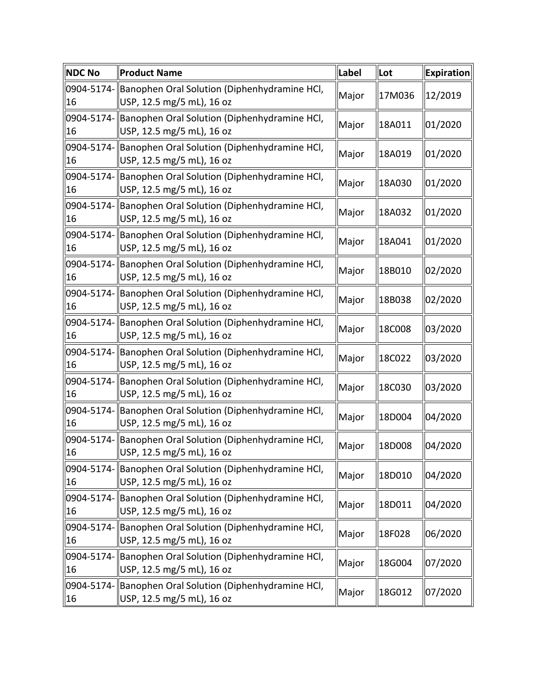| <b>NDC No</b> | <b>Product Name</b>                                                                    | Label | <b>Lot</b>    | <b>Expiration</b> |
|---------------|----------------------------------------------------------------------------------------|-------|---------------|-------------------|
| 16            | 0904-5174-  Banophen Oral Solution (Diphenhydramine HCl,<br>USP, 12.5 mg/5 mL), 16 oz  | Major | 17M036        | 12/2019           |
| 16            | 0904-5174-  Banophen Oral Solution (Diphenhydramine HCl,<br>USP, 12.5 mg/5 mL), 16 oz  | Major | 18A011        | 01/2020           |
| 16            | 0904-5174-  Banophen Oral Solution (Diphenhydramine HCl,<br>USP, 12.5 mg/5 mL), 16 oz  | Major | 18A019        | 01/2020           |
| 16            | 0904-5174-  Banophen Oral Solution (Diphenhydramine HCl,<br>USP, 12.5 mg/5 mL), 16 oz  | Major | 18A030        | 01/2020           |
| 16            | 0904-5174-  Banophen Oral Solution (Diphenhydramine HCl,<br>USP, 12.5 mg/5 mL), 16 oz  | Major | 18A032        | 01/2020           |
| 16            | 0904-5174-  Banophen Oral Solution (Diphenhydramine HCl,<br>USP, 12.5 mg/5 mL), 16 oz  | Major | 18A041        | 01/2020           |
| 16            | 0904-5174- Banophen Oral Solution (Diphenhydramine HCl,<br>USP, 12.5 mg/5 mL), 16 oz   | Major | 18B010        | 02/2020           |
| 16            | 0904-5174- Banophen Oral Solution (Diphenhydramine HCl,<br>USP, 12.5 mg/5 mL), 16 oz   | Major | 18B038        | 02/2020           |
| 16            | 0904-5174-  Banophen Oral Solution (Diphenhydramine HCl,<br>USP, 12.5 mg/5 mL), 16 oz  | Major | <b>18C008</b> | 03/2020           |
| 16            | 0904-5174-  Banophen Oral Solution (Diphenhydramine HCl,<br>USP, 12.5 mg/5 mL), 16 oz  | Major | 18C022        | 03/2020           |
| 16            | 0904-5174-  Banophen Oral Solution (Diphenhydramine HCl,<br>USP, 12.5 mg/5 mL), 16 oz  | Major | 18C030        | 03/2020           |
| 16            | 0904-5174- Banophen Oral Solution (Diphenhydramine HCl,<br>USP, 12.5 mg/5 mL), 16 oz   | Major | 18D004        | 04/2020           |
| 16            | 0904-5174-  Banophen Oral Solution (Diphenhydramine HCl,<br> USP, 12.5 mg/5 mL), 16 oz | Major | 18D008        | 04/2020           |
| 16            | 0904-5174-  Banophen Oral Solution (Diphenhydramine HCl,<br>USP, 12.5 mg/5 mL), 16 oz  | Major | 18D010        | 04/2020           |
| 16            | 0904-5174-  Banophen Oral Solution (Diphenhydramine HCl,<br>USP, 12.5 mg/5 mL), 16 oz  | Major | 18D011        | 04/2020           |
| 16            | 0904-5174-  Banophen Oral Solution (Diphenhydramine HCl,<br>USP, 12.5 mg/5 mL), 16 oz  | Major | 18F028        | 06/2020           |
| 16            | 0904-5174-  Banophen Oral Solution (Diphenhydramine HCl,<br>USP, 12.5 mg/5 mL), 16 oz  | Major | 18G004        | 07/2020           |
| $\vert$ 16    | 0904-5174-  Banophen Oral Solution (Diphenhydramine HCl,<br>USP, 12.5 mg/5 mL), 16 oz  | Major | 18G012        | 07/2020           |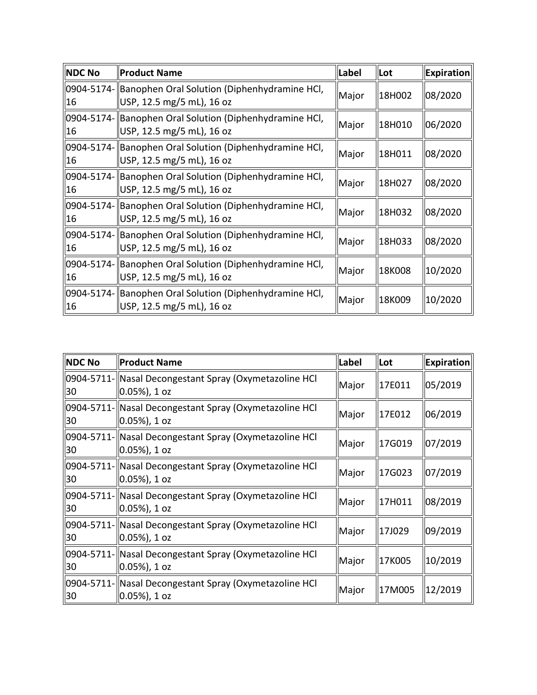| <b>NDC No</b> | Product Name                                                                            | Label | Lot    | <b>Expiration</b> |
|---------------|-----------------------------------------------------------------------------------------|-------|--------|-------------------|
| 16            | 0904-5174-  Banophen Oral Solution (Diphenhydramine HCl,<br>USP, 12.5 mg/5 mL), 16 oz   | Major | 18H002 | 08/2020           |
| 16            | 0904-5174-  Banophen Oral Solution (Diphenhydramine HCl,<br>  USP, 12.5 mg/5 mL), 16 oz | Major | 18H010 | 06/2020           |
| 16            | 0904-5174-  Banophen Oral Solution (Diphenhydramine HCl,<br>  USP, 12.5 mg/5 mL), 16 oz | Major | 18H011 | 08/2020           |
| 16            | 0904-5174-  Banophen Oral Solution (Diphenhydramine HCl,<br>  USP, 12.5 mg/5 mL), 16 oz | Major | 18H027 | 08/2020           |
| 16            | 0904-5174-  Banophen Oral Solution (Diphenhydramine HCl,<br>USP, 12.5 mg/5 mL), 16 oz   | Major | 18H032 | 08/2020           |
| 16            | 0904-5174-  Banophen Oral Solution (Diphenhydramine HCl,<br>  USP, 12.5 mg/5 mL), 16 oz | Major | 18H033 | 08/2020           |
| 16            | 0904-5174-  Banophen Oral Solution (Diphenhydramine HCl,<br>  USP, 12.5 mg/5 mL), 16 oz | Major | 18K008 | 10/2020           |
| 16            | 0904-5174-  Banophen Oral Solution (Diphenhydramine HCl,<br>USP, 12.5 mg/5 mL), 16 oz   | Major | 18K009 | 10/2020           |

| <b>NDC No</b> | Product Name                                                                | Label | Lot    | <b>Expiration</b> |
|---------------|-----------------------------------------------------------------------------|-------|--------|-------------------|
| 30            | 0904-5711- Nasal Decongestant Spray (Oxymetazoline HCl<br>  0.05%), 1 oz    | Major | 17E011 | 05/2019           |
| 30            | 0904-5711- Nasal Decongestant Spray (Oxymetazoline HCl<br>  0.05%), 1 oz    | Major | 17E012 | 06/2019           |
| 30            | 0904-5711- Nasal Decongestant Spray (Oxymetazoline HCl<br>$(0.05%)$ , 1 oz  | Major | 17G019 | 07/2019           |
| 30            | 0904-5711- Nasal Decongestant Spray (Oxymetazoline HCl<br>$(0.05\%)$ , 1 oz | Major | 17G023 | 07/2019           |
| 30            | 0904-5711- Nasal Decongestant Spray (Oxymetazoline HCl<br>  0.05%), 1 oz    | Major | 17H011 | 08/2019           |
| 30            | 0904-5711- Nasal Decongestant Spray (Oxymetazoline HCl<br>$(0.05%)$ , 1 oz  | Major | 17J029 | 09/2019           |
| 30            | 0904-5711- Nasal Decongestant Spray (Oxymetazoline HCl<br>$(0.05%)$ , 1 oz  | Major | 17K005 | 10/2019           |
| 30            | 0904-5711- Nasal Decongestant Spray (Oxymetazoline HCl<br>$(0.05\%)$ , 1 oz | Major | 17M005 | 12/2019           |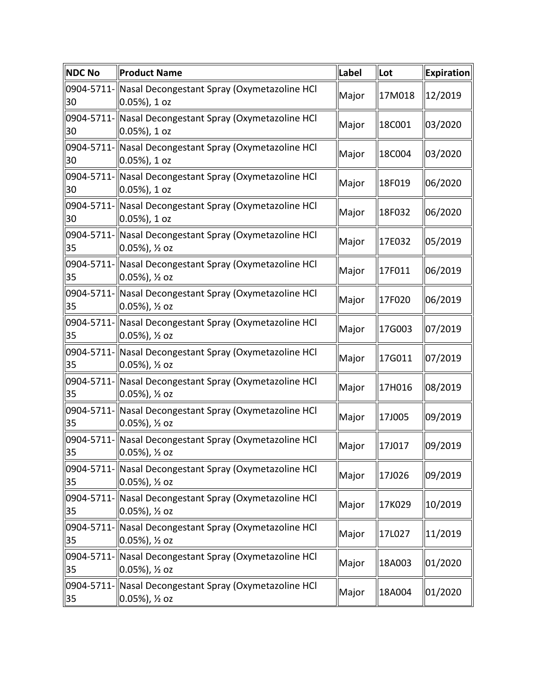| <b>NDC No</b> | <b>Product Name</b>                                                                    | Label | Lot    | <b>Expiration</b> |
|---------------|----------------------------------------------------------------------------------------|-------|--------|-------------------|
| 30            | 0904-5711- Nasal Decongestant Spray (Oxymetazoline HCl<br>$ 0.05\% , 1$ oz             | Major | 17M018 | 12/2019           |
| 30            | 0904-5711- Nasal Decongestant Spray (Oxymetazoline HCl<br>$(0.05\%)$ , 1 oz            | Major | 18C001 | 03/2020           |
| 30            | 0904-5711- Nasal Decongestant Spray (Oxymetazoline HCl<br>$(0.05\%)$ , 1 oz            | Major | 18C004 | 03/2020           |
| 30            | 0904-5711- Nasal Decongestant Spray (Oxymetazoline HCl<br>$(0.05\%)$ , 1 oz            | Major | 18F019 | 06/2020           |
| 30            | 0904-5711- Nasal Decongestant Spray (Oxymetazoline HCl<br>$(0.05\%)$ , 1 oz            | Major | 18F032 | 06/2020           |
| 35            | 0904-5711- Nasal Decongestant Spray (Oxymetazoline HCl<br>$(0.05\%)$ , ½ oz            | Major | 17E032 | 05/2019           |
| 35            | 0904-5711- Nasal Decongestant Spray (Oxymetazoline HCl<br>$(0.05\%)$ , ½ oz            | Major | 17F011 | 06/2019           |
| 35            | 0904-5711- Nasal Decongestant Spray (Oxymetazoline HCl<br>$(0.05\%)$ , ½ oz            | Major | 17F020 | 06/2019           |
| 35            | 0904-5711- Nasal Decongestant Spray (Oxymetazoline HCl<br>$(0.05\%)$ , ½ oz            | Major | 17G003 | 07/2019           |
| 35            | 0904-5711- Nasal Decongestant Spray (Oxymetazoline HCl<br>$(0.05\%)$ , ½ oz            | Major | 17G011 | 07/2019           |
| 35            | 0904-5711- Nasal Decongestant Spray (Oxymetazoline HCl<br>$0.05\%$ ), $\frac{1}{2}$ oz | Major | 17H016 | 08/2019           |
| 35            | 0904-5711- Nasal Decongestant Spray (Oxymetazoline HCl<br>$(0.05\%)$ , ½ oz            | Major | 17J005 | 09/2019           |
| 35            | 0904-5711- Nasal Decongestant Spray (Oxymetazoline HCl<br>$(0.05\%)$ , ½ oz            | Major | 17J017 | 09/2019           |
| 35            | 0904-5711- Nasal Decongestant Spray (Oxymetazoline HCl<br>$(0.05\%)$ , ½ oz            | Major | 17J026 | 09/2019           |
| 35            | 0904-5711- Nasal Decongestant Spray (Oxymetazoline HCl<br>$(0.05\%)$ , ½ oz            | Major | 17K029 | 10/2019           |
| 35            | 0904-5711- Nasal Decongestant Spray (Oxymetazoline HCl<br>$0.05\%$ ), $\frac{1}{2}$ oz | Major | 17L027 | 11/2019           |
| 35            | 0904-5711- Nasal Decongestant Spray (Oxymetazoline HCl<br>$(0.05\%)$ , ½ oz            | Major | 18A003 | 01/2020           |
| 35            | 0904-5711- Nasal Decongestant Spray (Oxymetazoline HCl<br>$(0.05\%)$ , ½ oz            | Major | 18A004 | 01/2020           |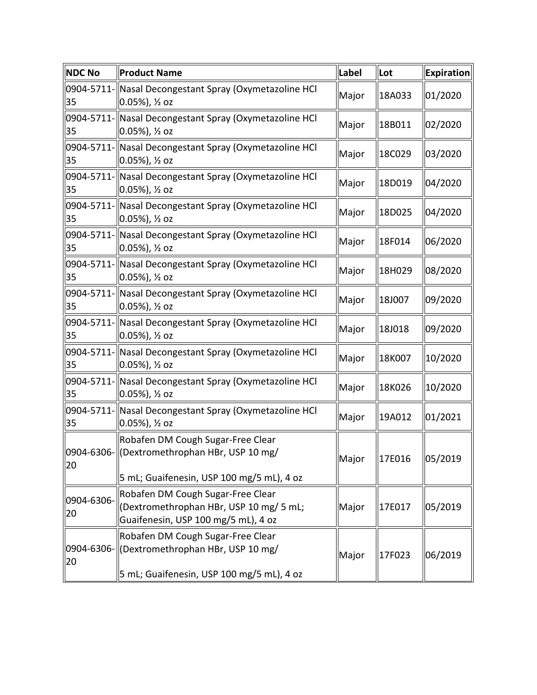| <b>NDC No</b>    | Product Name                                                                                                        | Label        | Lot    | <b>Expiration</b> |
|------------------|---------------------------------------------------------------------------------------------------------------------|--------------|--------|-------------------|
| 35               | 0904-5711- Nasal Decongestant Spray (Oxymetazoline HCl<br>$(0.05\%)$ , ½ oz                                         | Major        | 18A033 | 01/2020           |
| 35               | 0904-5711- Nasal Decongestant Spray (Oxymetazoline HCl<br>0.05%), ½ oz                                              | Major        | 18B011 | 02/2020           |
| 35               | 0904-5711- Nasal Decongestant Spray (Oxymetazoline HCl<br>0.05%), ½ oz                                              | Major        | 18C029 | 03/2020           |
| 35               | 0904-5711- Nasal Decongestant Spray (Oxymetazoline HCl<br>0.05%), ½ oz                                              | Major        | 18D019 | 04/2020           |
| 35               | 0904-5711- Nasal Decongestant Spray (Oxymetazoline HCl<br>$\vert$ 0.05%), ½ oz                                      | Major        | 18D025 | 04/2020           |
| 35               | 0904-5711- Nasal Decongestant Spray (Oxymetazoline HCl<br>0.05%), ½ oz                                              | Major        | 18F014 | 06/2020           |
| 35               | 0904-5711- Nasal Decongestant Spray (Oxymetazoline HCl<br>0.05%), ½ oz                                              | Major        | 18H029 | 08/2020           |
| 35               | 0904-5711- Nasal Decongestant Spray (Oxymetazoline HCl<br>0.05%), ½ oz                                              | Major        | 18J007 | 09/2020           |
| 35               | 0904-5711- Nasal Decongestant Spray (Oxymetazoline HCl<br>$(0.05\%)$ , ½ oz                                         | Major        | 18J018 | 09/2020           |
| 35               | 0904-5711- Nasal Decongestant Spray (Oxymetazoline HCl<br>$(0.05\%)$ , ½ oz                                         | Major        | 18K007 | 10/2020           |
| 35               | 0904-5711- Nasal Decongestant Spray (Oxymetazoline HCl<br>0.05%), ½ oz                                              | Major        | 18K026 | 10/2020           |
| 35               | 0904-5711- Nasal Decongestant Spray (Oxymetazoline HCl<br>0.05%), ½ oz                                              | Major        | 19A012 | 01/2021           |
| 20               | Robafen DM Cough Sugar-Free Clear<br>  0904-6306-  (Dextromethrophan HBr, USP 10 mg/                                | <b>Major</b> | 17E016 | 05/2019           |
|                  | 5 mL; Guaifenesin, USP 100 mg/5 mL), 4 oz                                                                           |              |        |                   |
| 0904-6306-<br>20 | Robafen DM Cough Sugar-Free Clear<br>(Dextromethrophan HBr, USP 10 mg/ 5 mL;<br>Guaifenesin, USP 100 mg/5 mL), 4 oz | Major        | 17E017 | 05/2019           |
| 20               | Robafen DM Cough Sugar-Free Clear<br>0904-6306- (Dextromethrophan HBr, USP 10 mg/                                   | Major        | 17F023 | 06/2019           |
|                  | 5 mL; Guaifenesin, USP 100 mg/5 mL), 4 oz                                                                           |              |        |                   |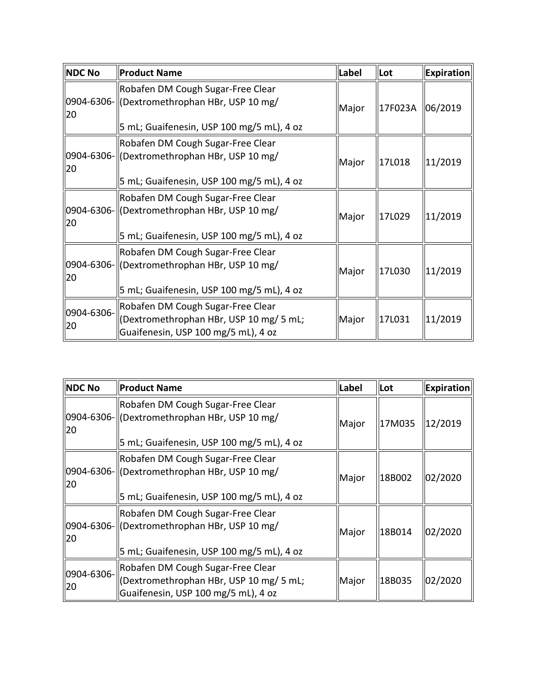| NDC No           | Product Name                                                                                                                      | Label | lLot    | Expiration            |
|------------------|-----------------------------------------------------------------------------------------------------------------------------------|-------|---------|-----------------------|
| 20               | Robafen DM Cough Sugar-Free Clear<br>0904-6306- (Dextromethrophan HBr, USP 10 mg/<br>5 mL; Guaifenesin, USP 100 mg/5 mL), 4 oz    | Major | 17F023A | 06/2019               |
| 20               | Robafen DM Cough Sugar-Free Clear<br>0904-6306- (Dextromethrophan HBr, USP 10 mg/<br>5 mL; Guaifenesin, USP 100 mg/5 mL), 4 oz    | Major | 17L018  | 11/2019               |
| 20               | Robafen DM Cough Sugar-Free Clear<br>  0904-6306-  (Dextromethrophan HBr, USP 10 mg/<br>5 mL; Guaifenesin, USP 100 mg/5 mL), 4 oz | Major | 17L029  | $\parallel$ 11/2019   |
| 20               | Robafen DM Cough Sugar-Free Clear<br>0904-6306- ((Dextromethrophan HBr, USP 10 mg/<br>5 mL; Guaifenesin, USP 100 mg/5 mL), 4 oz   | Major | 17L030  | $\vert 11/2019 \vert$ |
| 0904-6306-<br>20 | Robafen DM Cough Sugar-Free Clear<br>(Dextromethrophan HBr, USP 10 mg/ 5 mL;<br>Guaifenesin, USP 100 mg/5 mL), 4 oz               | Major | 17L031  | $\parallel$ 11/2019   |

| <b>NDC No</b>    | Product Name                                                                                                        | Label | lLot   | <b>Expiration</b> |
|------------------|---------------------------------------------------------------------------------------------------------------------|-------|--------|-------------------|
| 20               | Robafen DM Cough Sugar-Free Clear<br>0904-6306- (Dextromethrophan HBr, USP 10 mg/                                   | Major | 17M035 | 12/2019           |
|                  | 5 mL; Guaifenesin, USP 100 mg/5 mL), 4 oz                                                                           |       |        |                   |
| 20               | Robafen DM Cough Sugar-Free Clear<br>0904-6306- (Dextromethrophan HBr, USP 10 mg/                                   | Major | 18B002 | 02/2020           |
|                  | 5 mL; Guaifenesin, USP 100 mg/5 mL), 4 oz                                                                           |       |        |                   |
| 20               | Robafen DM Cough Sugar-Free Clear<br>0904-6306- (Dextromethrophan HBr, USP 10 mg/                                   | Major | 18B014 | 02/2020           |
|                  | 5 mL; Guaifenesin, USP 100 mg/5 mL), 4 oz                                                                           |       |        |                   |
| 0904-6306-<br>20 | Robafen DM Cough Sugar-Free Clear<br>CDextromethrophan HBr, USP 10 mg/ 5 mL;<br>Guaifenesin, USP 100 mg/5 mL), 4 oz | Major | 18B035 | 02/2020           |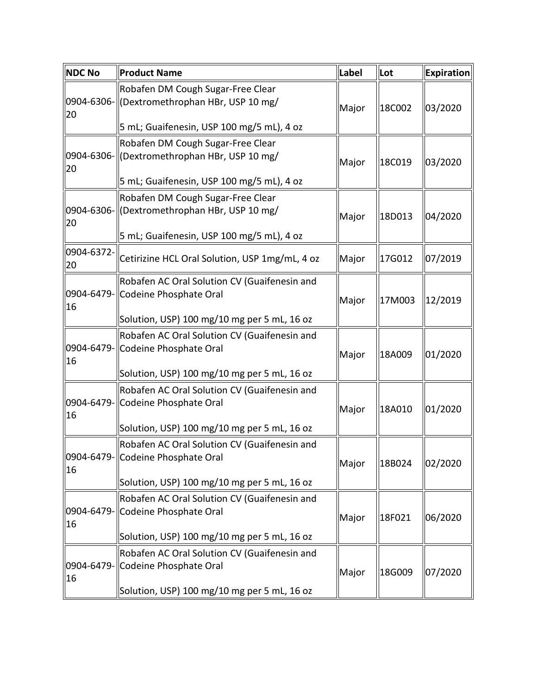| <b>NDC No</b>    | <b>Product Name</b>                                                                                                            | Label | lLot   | Expiration |
|------------------|--------------------------------------------------------------------------------------------------------------------------------|-------|--------|------------|
|                  | Robafen DM Cough Sugar-Free Clear                                                                                              |       |        |            |
| 20               | 0904-6306- (Dextromethrophan HBr, USP 10 mg/                                                                                   | Major | 18C002 | 03/2020    |
|                  | 5 mL; Guaifenesin, USP 100 mg/5 mL), 4 oz                                                                                      |       |        |            |
| 20               | Robafen DM Cough Sugar-Free Clear<br>0904-6306- (Dextromethrophan HBr, USP 10 mg/                                              | Major | 18C019 | 03/2020    |
|                  | 5 mL; Guaifenesin, USP 100 mg/5 mL), 4 oz                                                                                      |       |        |            |
| 20               | Robafen DM Cough Sugar-Free Clear<br>0904-6306- (Dextromethrophan HBr, USP 10 mg/<br>5 mL; Guaifenesin, USP 100 mg/5 mL), 4 oz | Major | 18D013 | 04/2020    |
| 0904-6372-<br>20 | Cetirizine HCL Oral Solution, USP 1mg/mL, 4 oz                                                                                 | Major | 17G012 | 07/2019    |
| 16               | Robafen AC Oral Solution CV (Guaifenesin and<br>0904-6479- Codeine Phosphate Oral                                              | Major | 17M003 | 12/2019    |
|                  | Solution, USP) 100 mg/10 mg per 5 mL, 16 oz                                                                                    |       |        |            |
| 16               | Robafen AC Oral Solution CV (Guaifenesin and<br>0904-6479- Codeine Phosphate Oral                                              | Major | 18A009 | 01/2020    |
|                  | Solution, USP) 100 mg/10 mg per 5 mL, 16 oz                                                                                    |       |        |            |
| 16               | Robafen AC Oral Solution CV (Guaifenesin and<br>0904-6479- Codeine Phosphate Oral                                              | Major | 18A010 | 01/2020    |
|                  | Solution, USP) 100 mg/10 mg per 5 mL, 16 oz                                                                                    |       |        |            |
| 16               | Robafen AC Oral Solution CV (Guaifenesin and<br>0904-6479- Codeine Phosphate Oral                                              | Major | 18B024 | 02/2020    |
|                  | Solution, USP) 100 mg/10 mg per 5 mL, 16 oz                                                                                    |       |        |            |
| 16               | Robafen AC Oral Solution CV (Guaifenesin and<br>0904-6479- Codeine Phosphate Oral                                              | Major | 18F021 | 06/2020    |
|                  | Solution, USP) 100 mg/10 mg per 5 mL, 16 oz                                                                                    |       |        |            |
| 16               | Robafen AC Oral Solution CV (Guaifenesin and<br>0904-6479- Codeine Phosphate Oral                                              | Major | 18G009 | 07/2020    |
|                  | Solution, USP) 100 mg/10 mg per 5 mL, 16 oz                                                                                    |       |        |            |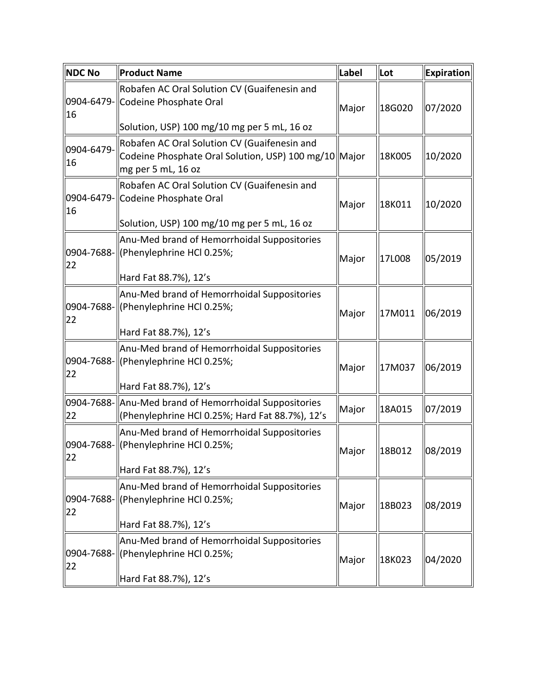| <b>NDC No</b>    | <b>Product Name</b>                                                                                                              | Label | Lot    | Expiration |
|------------------|----------------------------------------------------------------------------------------------------------------------------------|-------|--------|------------|
| 16               | Robafen AC Oral Solution CV (Guaifenesin and<br>0904-6479- Codeine Phosphate Oral<br>Solution, USP) 100 mg/10 mg per 5 mL, 16 oz | Major | 18G020 | 07/2020    |
| 0904-6479-<br>16 | Robafen AC Oral Solution CV (Guaifenesin and<br>Codeine Phosphate Oral Solution, USP) 100 mg/10 Major<br>mg per 5 mL, 16 oz      |       | 18K005 | 10/2020    |
| 16               | Robafen AC Oral Solution CV (Guaifenesin and<br>0904-6479- Codeine Phosphate Oral<br>Solution, USP) 100 mg/10 mg per 5 mL, 16 oz | Major | 18K011 | 10/2020    |
| 22               | Anu-Med brand of Hemorrhoidal Suppositories<br>0904-7688- (Phenylephrine HCl 0.25%;<br>Hard Fat 88.7%), 12's                     | Major | 17L008 | 05/2019    |
| 22               | Anu-Med brand of Hemorrhoidal Suppositories<br>0904-7688- (Phenylephrine HCl 0.25%;<br>Hard Fat 88.7%), 12's                     | Major | 17M011 | 06/2019    |
| 22               | Anu-Med brand of Hemorrhoidal Suppositories<br>  0904-7688-  (Phenylephrine HCl 0.25%;<br>Hard Fat 88.7%), 12's                  | Major | 17M037 | 06/2019    |
| 22               | 0904-7688- Anu-Med brand of Hemorrhoidal Suppositories<br>(Phenylephrine HCl 0.25%; Hard Fat 88.7%), 12's                        | Major | 18A015 | 07/2019    |
| 22               | Anu-Med brand of Hemorrhoidal Suppositories<br>0904-7688- (Phenylephrine HCl 0.25%;<br>Hard Fat 88.7%), 12's                     | Major | 18B012 | 08/2019    |
| 22               | Anu-Med brand of Hemorrhoidal Suppositories<br>0904-7688- (Phenylephrine HCl 0.25%;<br>Hard Fat 88.7%), 12's                     | Major | 18B023 | 08/2019    |
| 22               | Anu-Med brand of Hemorrhoidal Suppositories<br>0904-7688- (Phenylephrine HCl 0.25%;<br>Hard Fat 88.7%), 12's                     | Major | 18K023 | 04/2020    |